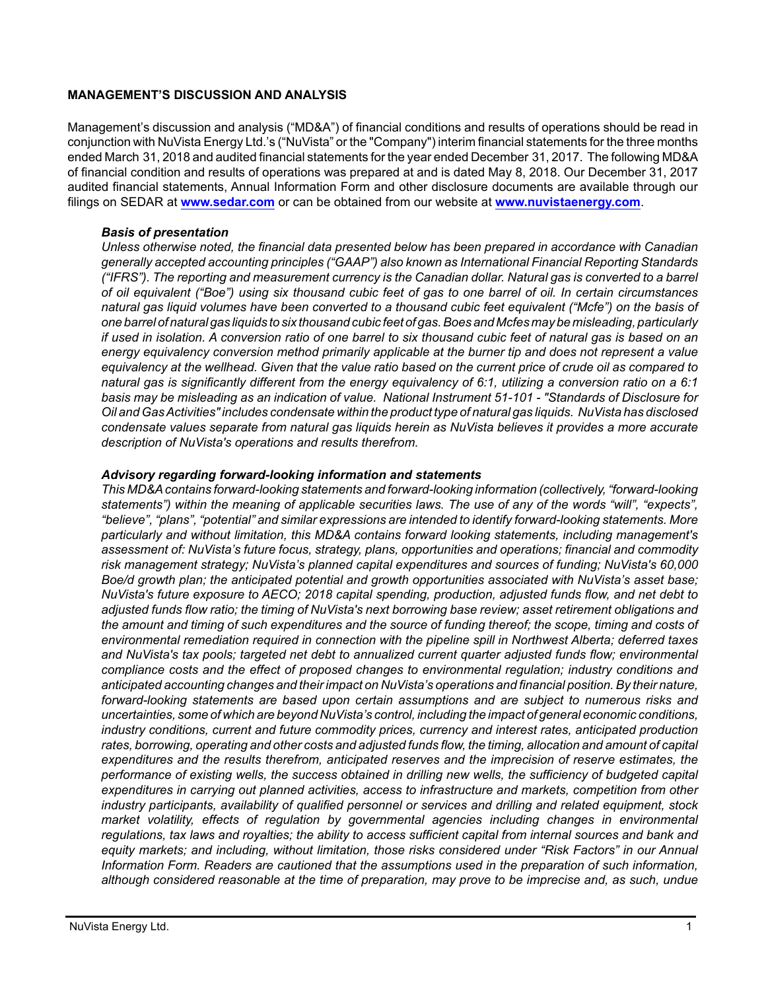### **MANAGEMENT'S DISCUSSION AND ANALYSIS**

Management's discussion and analysis ("MD&A") of financial conditions and results of operations should be read in conjunction with NuVista Energy Ltd.'s ("NuVista" or the "Company") interim financial statements for the three months ended March 31, 2018 and audited financial statements for the year ended December 31, 2017. The following MD&A of financial condition and results of operations was prepared at and is dated May 8, 2018. Our December 31, 2017 audited financial statements, Annual Information Form and other disclosure documents are available through our filings on SEDAR at **[www.sedar.com](http://www.sedar.com)** or can be obtained from our website at **[www.nuvistaenergy.com](http://www.nuvistaenergy.com)**.

#### *Basis of presentation*

*Unless otherwise noted, the financial data presented below has been prepared in accordance with Canadian generally accepted accounting principles ("GAAP") also known as International Financial Reporting Standards ("IFRS"). The reporting and measurement currency is the Canadian dollar. Natural gas is converted to a barrel of oil equivalent ("Boe") using six thousand cubic feet of gas to one barrel of oil. In certain circumstances natural gas liquid volumes have been converted to a thousand cubic feet equivalent ("Mcfe") on the basis of one barrel of natural gas liquids to six thousand cubic feet of gas. Boes and Mcfes may be misleading, particularly if used in isolation. A conversion ratio of one barrel to six thousand cubic feet of natural gas is based on an energy equivalency conversion method primarily applicable at the burner tip and does not represent a value equivalency at the wellhead. Given that the value ratio based on the current price of crude oil as compared to natural gas is significantly different from the energy equivalency of 6:1, utilizing a conversion ratio on a 6:1 basis may be misleading as an indication of value. National Instrument 51-101 - "Standards of Disclosure for Oil and Gas Activities" includes condensate within the product type of natural gas liquids. NuVista has disclosed condensate values separate from natural gas liquids herein as NuVista believes it provides a more accurate description of NuVista's operations and results therefrom.* 

#### *Advisory regarding forward-looking information and statements*

*This MD&A contains forward-looking statements and forward-looking information (collectively, "forward-looking statements") within the meaning of applicable securities laws. The use of any of the words "will", "expects", "believe", "plans", "potential" and similar expressions are intended to identify forward-looking statements. More particularly and without limitation, this MD&A contains forward looking statements, including management's assessment of: NuVista's future focus, strategy, plans, opportunities and operations; financial and commodity risk management strategy; NuVista's planned capital expenditures and sources of funding; NuVista's 60,000 Boe/d growth plan; the anticipated potential and growth opportunities associated with NuVista's asset base; NuVista's future exposure to AECO; 2018 capital spending, production, adjusted funds flow, and net debt to adjusted funds flow ratio; the timing of NuVista's next borrowing base review; asset retirement obligations and the amount and timing of such expenditures and the source of funding thereof; the scope, timing and costs of environmental remediation required in connection with the pipeline spill in Northwest Alberta; deferred taxes and NuVista's tax pools; targeted net debt to annualized current quarter adjusted funds flow; environmental compliance costs and the effect of proposed changes to environmental regulation; industry conditions and anticipated accounting changes and their impact on NuVista's operations and financial position. By their nature, forward-looking statements are based upon certain assumptions and are subject to numerous risks and uncertainties, some of which are beyond NuVista's control, including the impact of general economic conditions, industry conditions, current and future commodity prices, currency and interest rates, anticipated production rates, borrowing, operating and other costs and adjusted funds flow, the timing, allocation and amount of capital expenditures and the results therefrom, anticipated reserves and the imprecision of reserve estimates, the performance of existing wells, the success obtained in drilling new wells, the sufficiency of budgeted capital expenditures in carrying out planned activities, access to infrastructure and markets, competition from other industry participants, availability of qualified personnel or services and drilling and related equipment, stock market volatility, effects of regulation by governmental agencies including changes in environmental regulations, tax laws and royalties; the ability to access sufficient capital from internal sources and bank and equity markets; and including, without limitation, those risks considered under "Risk Factors" in our Annual Information Form. Readers are cautioned that the assumptions used in the preparation of such information, although considered reasonable at the time of preparation, may prove to be imprecise and, as such, undue*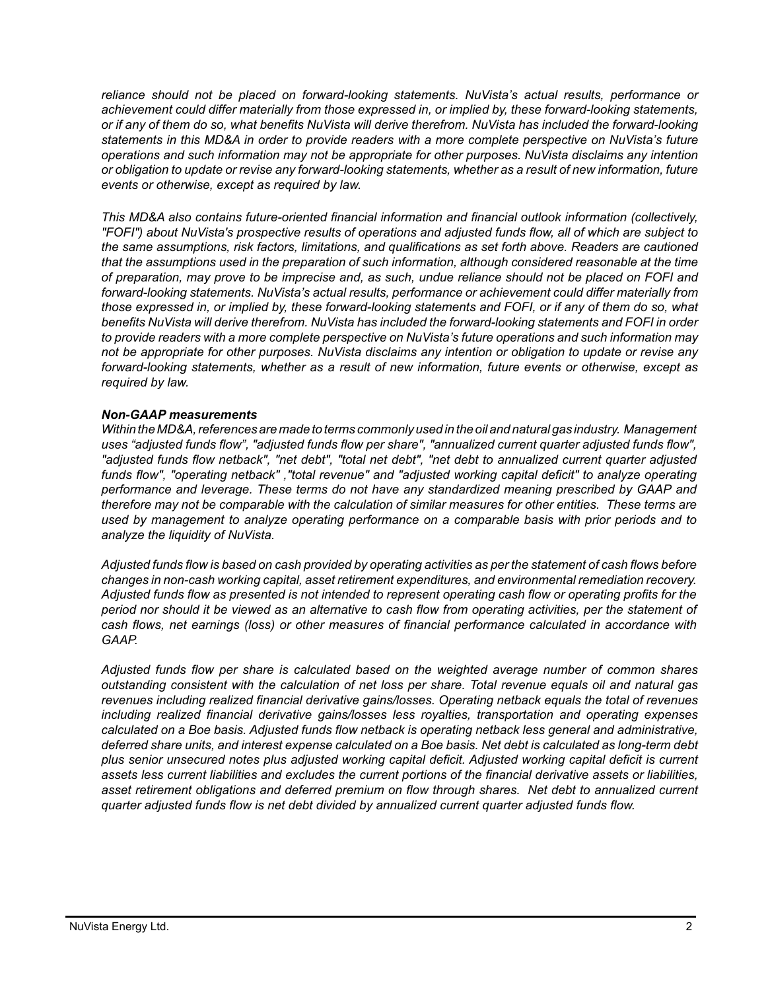*reliance should not be placed on forward-looking statements. NuVista's actual results, performance or achievement could differ materially from those expressed in, or implied by, these forward-looking statements, or if any of them do so, what benefits NuVista will derive therefrom. NuVista has included the forward-looking statements in this MD&A in order to provide readers with a more complete perspective on NuVista's future operations and such information may not be appropriate for other purposes. NuVista disclaims any intention or obligation to update or revise any forward-looking statements, whether as a result of new information, future events or otherwise, except as required by law.*

*This MD&A also contains future-oriented financial information and financial outlook information (collectively, "FOFI") about NuVista's prospective results of operations and adjusted funds flow, all of which are subject to the same assumptions, risk factors, limitations, and qualifications as set forth above. Readers are cautioned that the assumptions used in the preparation of such information, although considered reasonable at the time of preparation, may prove to be imprecise and, as such, undue reliance should not be placed on FOFI and forward-looking statements. NuVista's actual results, performance or achievement could differ materially from those expressed in, or implied by, these forward-looking statements and FOFI, or if any of them do so, what benefits NuVista will derive therefrom. NuVista has included the forward-looking statements and FOFI in order to provide readers with a more complete perspective on NuVista's future operations and such information may not be appropriate for other purposes. NuVista disclaims any intention or obligation to update or revise any forward-looking statements, whether as a result of new information, future events or otherwise, except as required by law.*

# *Non-GAAP measurements*

*Within the MD&A, references are made to terms commonly used in the oil and natural gas industry. Management uses "adjusted funds flow", "adjusted funds flow per share", "annualized current quarter adjusted funds flow", "adjusted funds flow netback", "net debt", "total net debt", "net debt to annualized current quarter adjusted funds flow", "operating netback" ,"total revenue" and "adjusted working capital deficit" to analyze operating performance and leverage. These terms do not have any standardized meaning prescribed by GAAP and therefore may not be comparable with the calculation of similar measures for other entities. These terms are used by management to analyze operating performance on a comparable basis with prior periods and to analyze the liquidity of NuVista.* 

*Adjusted funds flow is based on cash provided by operating activities as per the statement of cash flows before changes in non-cash working capital, asset retirement expenditures, and environmental remediation recovery. Adjusted funds flow as presented is not intended to represent operating cash flow or operating profits for the period nor should it be viewed as an alternative to cash flow from operating activities, per the statement of cash flows, net earnings (loss) or other measures of financial performance calculated in accordance with GAAP.* 

*Adjusted funds flow per share is calculated based on the weighted average number of common shares outstanding consistent with the calculation of net loss per share. Total revenue equals oil and natural gas revenues including realized financial derivative gains/losses. Operating netback equals the total of revenues including realized financial derivative gains/losses less royalties, transportation and operating expenses calculated on a Boe basis. Adjusted funds flow netback is operating netback less general and administrative, deferred share units, and interest expense calculated on a Boe basis. Net debt is calculated as long-term debt plus senior unsecured notes plus adjusted working capital deficit. Adjusted working capital deficit is current assets less current liabilities and excludes the current portions of the financial derivative assets or liabilities, asset retirement obligations and deferred premium on flow through shares. Net debt to annualized current quarter adjusted funds flow is net debt divided by annualized current quarter adjusted funds flow.*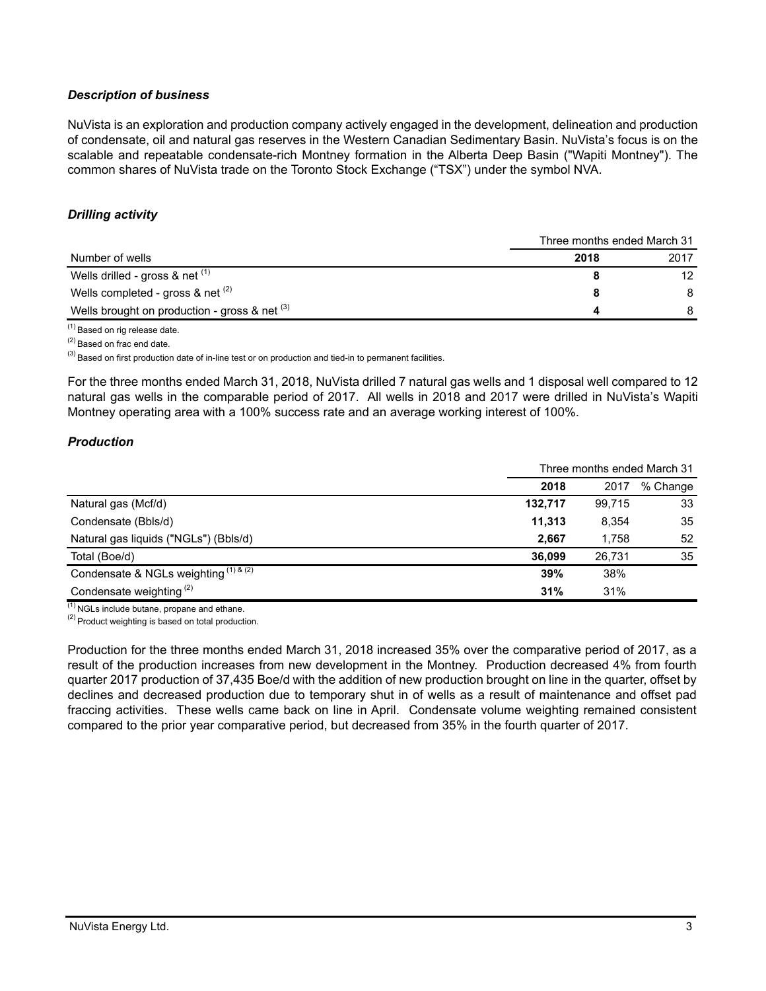# *Description of business*

NuVista is an exploration and production company actively engaged in the development, delineation and production of condensate, oil and natural gas reserves in the Western Canadian Sedimentary Basin. NuVista's focus is on the scalable and repeatable condensate-rich Montney formation in the Alberta Deep Basin ("Wapiti Montney"). The common shares of NuVista trade on the Toronto Stock Exchange ("TSX") under the symbol NVA.

# *Drilling activity*

|                                                 | Three months ended March 31 |                 |  |
|-------------------------------------------------|-----------------------------|-----------------|--|
| Number of wells                                 | 2018                        | 2017            |  |
| Wells drilled - gross $\&$ net $(1)$            |                             | 12 <sup>2</sup> |  |
| Wells completed - gross & net $(2)$             |                             | 8               |  |
| Wells brought on production - gross & net $(3)$ |                             |                 |  |

(1) Based on rig release date.

(2) Based on frac end date.

 $^{(3)}$  Based on first production date of in-line test or on production and tied-in to permanent facilities.

For the three months ended March 31, 2018, NuVista drilled 7 natural gas wells and 1 disposal well compared to 12 natural gas wells in the comparable period of 2017. All wells in 2018 and 2017 were drilled in NuVista's Wapiti Montney operating area with a 100% success rate and an average working interest of 100%.

# *Production*

|                                                      | Three months ended March 31 |        |          |  |
|------------------------------------------------------|-----------------------------|--------|----------|--|
|                                                      | 2018                        | 2017   | % Change |  |
| Natural gas (Mcf/d)                                  | 132,717                     | 99,715 | 33       |  |
| Condensate (Bbls/d)                                  | 11.313                      | 8,354  | 35       |  |
| Natural gas liquids ("NGLs") (Bbls/d)                | 2.667                       | 1.758  | 52       |  |
| Total (Boe/d)                                        | 36.099                      | 26.731 | 35       |  |
| Condensate & NGLs weighting $(1)$ & $\overline{(2)}$ | 39%                         | 38%    |          |  |
| Condensate weighting <sup>(2)</sup>                  | 31%                         | 31%    |          |  |

 $(1)$  NGLs include butane, propane and ethane.

 $(2)$  Product weighting is based on total production.

Production for the three months ended March 31, 2018 increased 35% over the comparative period of 2017, as a result of the production increases from new development in the Montney. Production decreased 4% from fourth quarter 2017 production of 37,435 Boe/d with the addition of new production brought on line in the quarter, offset by declines and decreased production due to temporary shut in of wells as a result of maintenance and offset pad fraccing activities. These wells came back on line in April. Condensate volume weighting remained consistent compared to the prior year comparative period, but decreased from 35% in the fourth quarter of 2017.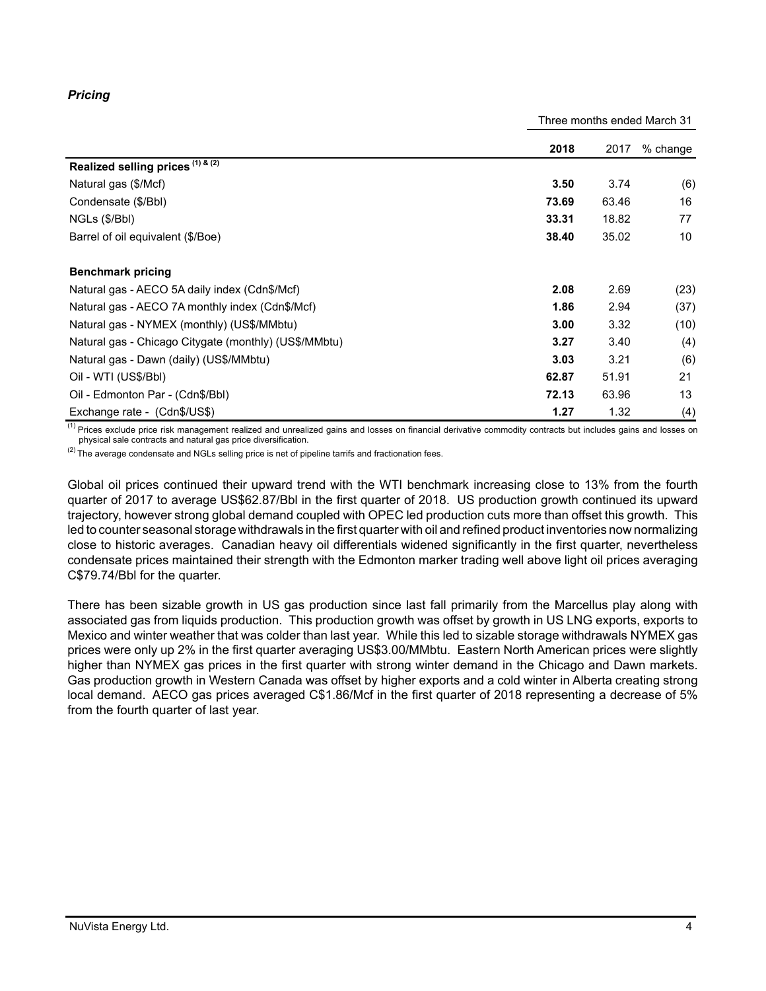# *Pricing*

Three months ended March 31

|                                                       | 2018  | 2017  | $%$ change |
|-------------------------------------------------------|-------|-------|------------|
| Realized selling prices $(1)$ & $(2)$                 |       |       |            |
| Natural gas (\$/Mcf)                                  | 3.50  | 3.74  | (6)        |
| Condensate (\$/Bbl)                                   | 73.69 | 63.46 | 16         |
| NGLs (\$/Bbl)                                         | 33.31 | 18.82 | 77         |
| Barrel of oil equivalent (\$/Boe)                     | 38.40 | 35.02 | 10         |
| <b>Benchmark pricing</b>                              |       |       |            |
| Natural gas - AECO 5A daily index (Cdn\$/Mcf)         | 2.08  | 2.69  | (23)       |
| Natural gas - AECO 7A monthly index (Cdn\$/Mcf)       | 1.86  | 2.94  | (37)       |
| Natural gas - NYMEX (monthly) (US\$/MMbtu)            | 3.00  | 3.32  | (10)       |
| Natural gas - Chicago Citygate (monthly) (US\$/MMbtu) | 3.27  | 3.40  | (4)        |
| Natural gas - Dawn (daily) (US\$/MMbtu)               | 3.03  | 3.21  | (6)        |
| Oil - WTI (US\$/BbI)                                  | 62.87 | 51.91 | 21         |
| Oil - Edmonton Par - (Cdn\$/Bbl)                      | 72.13 | 63.96 | 13         |
| Exchange rate - (Cdn\$/US\$)                          | 1.27  | 1.32  | (4)        |

<sup>(1)</sup> Prices exclude price risk management realized and unrealized gains and losses on financial derivative commodity contracts but includes gains and losses on physical sale contracts and natural gas price diversification.

 $(2)$  The average condensate and NGLs selling price is net of pipeline tarrifs and fractionation fees.

Global oil prices continued their upward trend with the WTI benchmark increasing close to 13% from the fourth quarter of 2017 to average US\$62.87/Bbl in the first quarter of 2018. US production growth continued its upward trajectory, however strong global demand coupled with OPEC led production cuts more than offset this growth. This led to counter seasonal storage withdrawals in the first quarter with oil and refined product inventories now normalizing close to historic averages. Canadian heavy oil differentials widened significantly in the first quarter, nevertheless condensate prices maintained their strength with the Edmonton marker trading well above light oil prices averaging C\$79.74/Bbl for the quarter.

There has been sizable growth in US gas production since last fall primarily from the Marcellus play along with associated gas from liquids production. This production growth was offset by growth in US LNG exports, exports to Mexico and winter weather that was colder than last year. While this led to sizable storage withdrawals NYMEX gas prices were only up 2% in the first quarter averaging US\$3.00/MMbtu. Eastern North American prices were slightly higher than NYMEX gas prices in the first quarter with strong winter demand in the Chicago and Dawn markets. Gas production growth in Western Canada was offset by higher exports and a cold winter in Alberta creating strong local demand. AECO gas prices averaged C\$1.86/Mcf in the first quarter of 2018 representing a decrease of 5% from the fourth quarter of last year.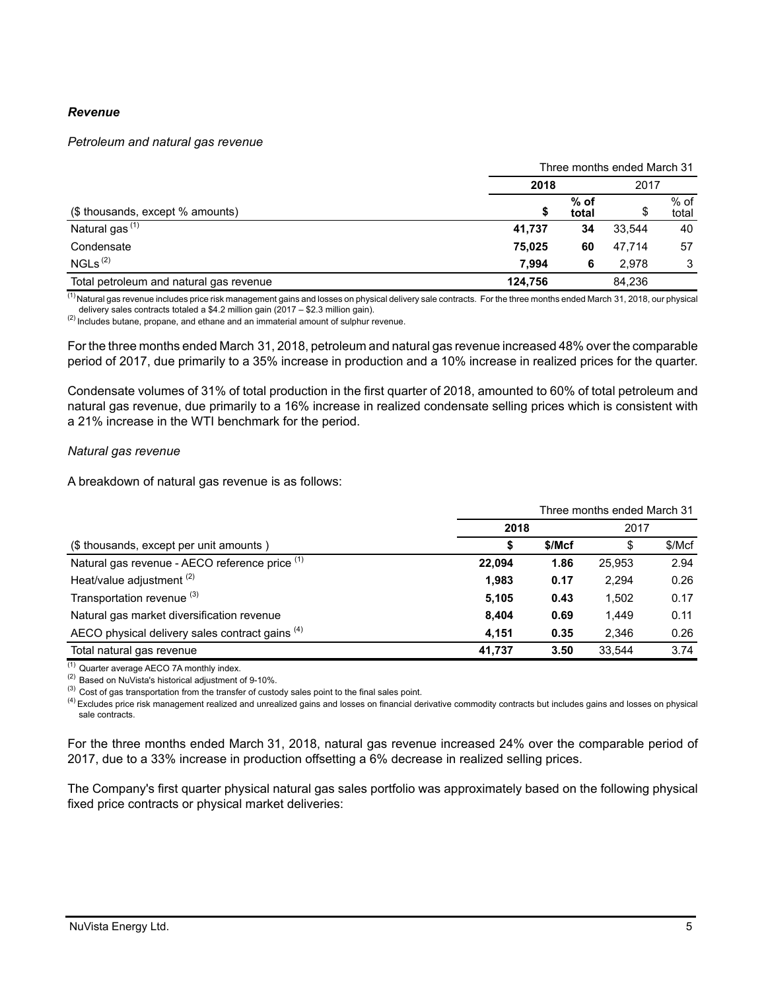### *Revenue*

#### *Petroleum and natural gas revenue*

|                                         | Three months ended March 31 |                 |        |                 |  |
|-----------------------------------------|-----------------------------|-----------------|--------|-----------------|--|
|                                         | 2018                        |                 | 2017   |                 |  |
| (\$ thousands, except % amounts)        | \$                          | $%$ of<br>total | Ψ      | $%$ of<br>total |  |
| Natural gas <sup>(1)</sup>              | 41.737                      | 34              | 33.544 | 40              |  |
| Condensate                              | 75.025                      | 60              | 47.714 | 57              |  |
| NGLs <sup>(2)</sup>                     | 7.994                       | 6               | 2.978  | 3               |  |
| Total petroleum and natural gas revenue | 124,756                     |                 | 84,236 |                 |  |

 $\frac{(1)}{(1)}$ Natural gas revenue includes price risk management gains and losses on physical delivery sale contracts. For the three months ended March 31, 2018, our physical delivery sales contracts totaled a \$4.2 million gain (2017 – \$2.3 million gain).

(2) Includes butane, propane, and ethane and an immaterial amount of sulphur revenue.

For the three months ended March 31, 2018, petroleum and natural gas revenue increased 48% over the comparable period of 2017, due primarily to a 35% increase in production and a 10% increase in realized prices for the quarter.

Condensate volumes of 31% of total production in the first quarter of 2018, amounted to 60% of total petroleum and natural gas revenue, due primarily to a 16% increase in realized condensate selling prices which is consistent with a 21% increase in the WTI benchmark for the period.

#### *Natural gas revenue*

A breakdown of natural gas revenue is as follows:

|                                                 | Three months ended March 31 |        |        |        |  |
|-------------------------------------------------|-----------------------------|--------|--------|--------|--|
|                                                 | 2018                        |        | 2017   |        |  |
| (\$ thousands, except per unit amounts)         | S                           | \$/Mcf | \$     | \$/Mcf |  |
| Natural gas revenue - AECO reference price (1)  | 22.094                      | 1.86   | 25.953 | 2.94   |  |
| Heat/value adjustment <sup>(2)</sup>            | 1,983                       | 0.17   | 2.294  | 0.26   |  |
| Transportation revenue (3)                      | 5.105                       | 0.43   | 1.502  | 0.17   |  |
| Natural gas market diversification revenue      | 8.404                       | 0.69   | 1.449  | 0.11   |  |
| AECO physical delivery sales contract gains (4) | 4,151                       | 0.35   | 2.346  | 0.26   |  |
| Total natural gas revenue                       | 41,737                      | 3.50   | 33.544 | 3.74   |  |

(1) Quarter average AECO 7A monthly index.

(2) Based on NuVista's historical adjustment of 9-10%.

<sup>(3)</sup> Cost of gas transportation from the transfer of custody sales point to the final sales point.

<sup>(4)</sup> Excludes price risk management realized and unrealized gains and losses on financial derivative commodity contracts but includes gains and losses on physical sale contracts.

For the three months ended March 31, 2018, natural gas revenue increased 24% over the comparable period of 2017, due to a 33% increase in production offsetting a 6% decrease in realized selling prices.

The Company's first quarter physical natural gas sales portfolio was approximately based on the following physical fixed price contracts or physical market deliveries: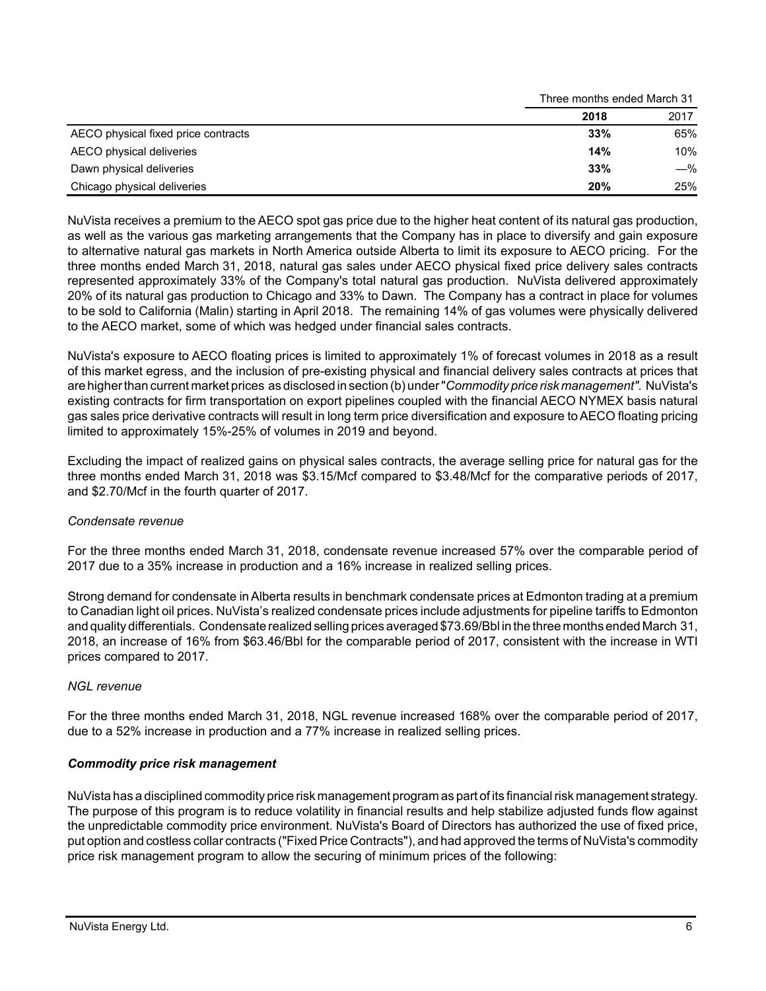|                                     | Three months enged March 3T |       |  |
|-------------------------------------|-----------------------------|-------|--|
|                                     | 2018                        | 2017  |  |
| AECO physical fixed price contracts | 33%                         | 65%   |  |
| AECO physical deliveries            | 14%                         | 10%   |  |
| Dawn physical deliveries            | 33%                         | $-\%$ |  |
| Chicago physical deliveries         | 20%                         | 25%   |  |

NuVista receives a premium to the AECO spot gas price due to the higher heat content of its natural gas production, as well as the various gas marketing arrangements that the Company has in place to diversify and gain exposure to alternative natural gas markets in North America outside Alberta to limit its exposure to AECO pricing. For the three months ended March 31, 2018, natural gas sales under AECO physical fixed price delivery sales contracts represented approximately 33% of the Company's total natural gas production. NuVista delivered approximately 20% of its natural gas production to Chicago and 33% to Dawn. The Company has a contract in place for volumes to be sold to California (Malin) starting in April 2018. The remaining 14% of gas volumes were physically delivered to the AECO market, some of which was hedged under financial sales contracts.

NuVista's exposure to AECO floating prices is limited to approximately 1% of forecast volumes in 2018 as a result of this market egress, and the inclusion of pre-existing physical and financial delivery sales contracts at prices that are higher than current market prices as disclosed in section (b) under "*Commodity price risk management".* NuVista's existing contracts for firm transportation on export pipelines coupled with the financial AECO NYMEX basis natural gas sales price derivative contracts will result in long term price diversification and exposure to AECO floating pricing limited to approximately 15%-25% of volumes in 2019 and beyond.

Excluding the impact of realized gains on physical sales contracts, the average selling price for natural gas for the three months ended March 31, 2018 was \$3.15/Mcf compared to \$3.48/Mcf for the comparative periods of 2017, and \$2.70/Mcf in the fourth quarter of 2017.

# *Condensate revenue*

For the three months ended March 31, 2018, condensate revenue increased 57% over the comparable period of 2017 due to a 35% increase in production and a 16% increase in realized selling prices.

Strong demand for condensate in Alberta results in benchmark condensate prices at Edmonton trading at a premium to Canadian light oil prices. NuVista's realized condensate prices include adjustments for pipeline tariffs to Edmonton and quality differentials. Condensate realized selling prices averaged \$73.69/Bbl in the three months ended March 31, 2018, an increase of 16% from \$63.46/Bbl for the comparable period of 2017, consistent with the increase in WTI prices compared to 2017.

# *NGL revenue*

For the three months ended March 31, 2018, NGL revenue increased 168% over the comparable period of 2017, due to a 52% increase in production and a 77% increase in realized selling prices.

# *Commodity price risk management*

NuVista has a disciplined commodity price risk management program as part of its financial risk management strategy. The purpose of this program is to reduce volatility in financial results and help stabilize adjusted funds flow against the unpredictable commodity price environment. NuVista's Board of Directors has authorized the use of fixed price, put option and costless collar contracts ("Fixed Price Contracts"), and had approved the terms of NuVista's commodity price risk management program to allow the securing of minimum prices of the following:

 $T_{\rm eff}$  months ended March 31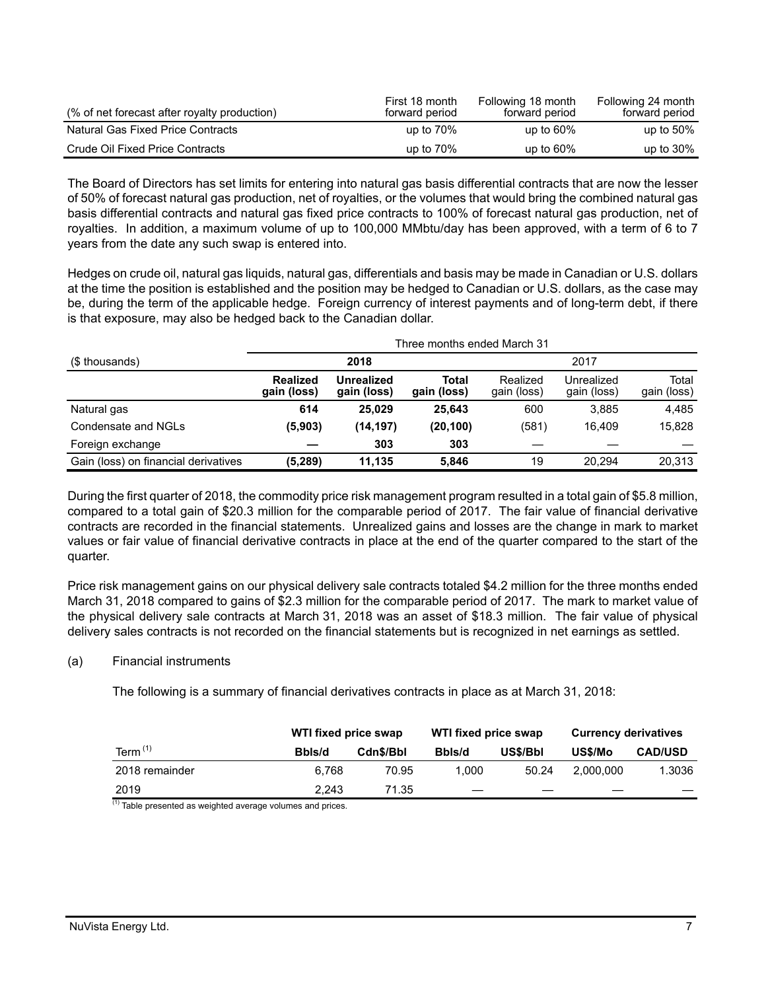| (% of net forecast after royalty production) | First 18 month<br>forward period | Following 18 month<br>forward period | Following 24 month<br>forward period |
|----------------------------------------------|----------------------------------|--------------------------------------|--------------------------------------|
| <b>Natural Gas Fixed Price Contracts</b>     | up to $70\%$                     | up to $60\%$                         | up to $50\%$                         |
| Crude Oil Fixed Price Contracts              | up to $70\%$                     | up to $60\%$                         | up to $30\%$                         |

The Board of Directors has set limits for entering into natural gas basis differential contracts that are now the lesser of 50% of forecast natural gas production, net of royalties, or the volumes that would bring the combined natural gas basis differential contracts and natural gas fixed price contracts to 100% of forecast natural gas production, net of royalties. In addition, a maximum volume of up to 100,000 MMbtu/day has been approved, with a term of 6 to 7 years from the date any such swap is entered into.

Hedges on crude oil, natural gas liquids, natural gas, differentials and basis may be made in Canadian or U.S. dollars at the time the position is established and the position may be hedged to Canadian or U.S. dollars, as the case may be, during the term of the applicable hedge. Foreign currency of interest payments and of long-term debt, if there is that exposure, may also be hedged back to the Canadian dollar.

|                                      | Three months ended March 31    |                                  |                      |                         |                           |                      |
|--------------------------------------|--------------------------------|----------------------------------|----------------------|-------------------------|---------------------------|----------------------|
| (\$ thousands)                       |                                | 2018                             |                      | 2017                    |                           |                      |
|                                      | <b>Realized</b><br>gain (loss) | <b>Unrealized</b><br>gain (loss) | Total<br>gain (loss) | Realized<br>gain (loss) | Unrealized<br>gain (loss) | Total<br>gain (loss) |
| Natural gas                          | 614                            | 25.029                           | 25.643               | 600                     | 3.885                     | 4.485                |
| Condensate and NGLs                  | (5,903)                        | (14, 197)                        | (20, 100)            | (581)                   | 16.409                    | 15.828               |
| Foreign exchange                     |                                | 303                              | 303                  |                         |                           |                      |
| Gain (loss) on financial derivatives | (5,289)                        | 11,135                           | 5.846                | 19                      | 20.294                    | 20,313               |

During the first quarter of 2018, the commodity price risk management program resulted in a total gain of \$5.8 million, compared to a total gain of \$20.3 million for the comparable period of 2017. The fair value of financial derivative contracts are recorded in the financial statements. Unrealized gains and losses are the change in mark to market values or fair value of financial derivative contracts in place at the end of the quarter compared to the start of the quarter.

Price risk management gains on our physical delivery sale contracts totaled \$4.2 million for the three months ended March 31, 2018 compared to gains of \$2.3 million for the comparable period of 2017. The mark to market value of the physical delivery sale contracts at March 31, 2018 was an asset of \$18.3 million. The fair value of physical delivery sales contracts is not recorded on the financial statements but is recognized in net earnings as settled.

# (a) Financial instruments

The following is a summary of financial derivatives contracts in place as at March 31, 2018:

|                | WTI fixed price swap |           | WTI fixed price swap |          | <b>Currency derivatives</b> |                |
|----------------|----------------------|-----------|----------------------|----------|-----------------------------|----------------|
| Term $(1)$     | Bbls/d               | Cdn\$/Bbl | Bbls/d               | US\$/Bbl | US\$/Mo                     | <b>CAD/USD</b> |
| 2018 remainder | 6.768                | 70.95     | 1.000                | 50.24    | 2.000.000                   | 1.3036         |
| 2019           | 2.243                | 71.35     | _                    | _        |                             |                |

(1) Table presented as weighted average volumes and prices.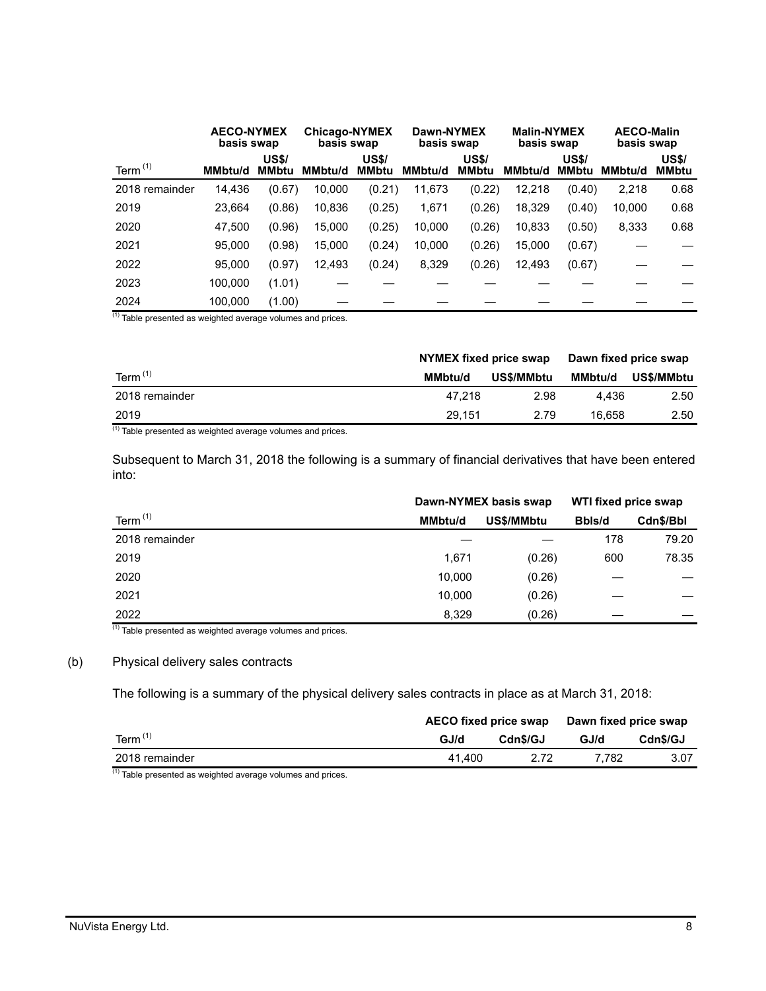|                | <b>AECO-NYMEX</b><br>basis swap |                              | <b>Chicago-NYMEX</b><br>basis swap |                              | Dawn-NYMEX<br>basis swap |                              | <b>Malin-NYMEX</b><br>basis swap |                              | <b>AECO-Malin</b><br>basis swap |                              |
|----------------|---------------------------------|------------------------------|------------------------------------|------------------------------|--------------------------|------------------------------|----------------------------------|------------------------------|---------------------------------|------------------------------|
| Term $(1)$     | <b>MMbtu/d</b>                  | <b>US\$/</b><br><b>MMbtu</b> | MMbtu/d                            | <b>US\$/</b><br><b>MMbtu</b> | <b>MMbtu/d</b>           | <b>US\$/</b><br><b>MMbtu</b> | <b>MMbtu/d</b>                   | <b>US\$/</b><br><b>MMbtu</b> | <b>MMbtu/d</b>                  | <b>US\$/</b><br><b>MMbtu</b> |
| 2018 remainder | 14,436                          | (0.67)                       | 10,000                             | (0.21)                       | 11,673                   | (0.22)                       | 12,218                           | (0.40)                       | 2,218                           | 0.68                         |
| 2019           | 23.664                          | (0.86)                       | 10,836                             | (0.25)                       | 1,671                    | (0.26)                       | 18,329                           | (0.40)                       | 10,000                          | 0.68                         |
| 2020           | 47.500                          | (0.96)                       | 15,000                             | (0.25)                       | 10,000                   | (0.26)                       | 10,833                           | (0.50)                       | 8,333                           | 0.68                         |
| 2021           | 95.000                          | (0.98)                       | 15,000                             | (0.24)                       | 10,000                   | (0.26)                       | 15,000                           | (0.67)                       |                                 |                              |
| 2022           | 95.000                          | (0.97)                       | 12,493                             | (0.24)                       | 8,329                    | (0.26)                       | 12,493                           | (0.67)                       |                                 |                              |
| 2023           | 100.000                         | (1.01)                       |                                    |                              |                          |                              |                                  |                              |                                 |                              |
| 2024           | 100.000                         | (1.00)                       |                                    |                              |                          |                              |                                  |                              |                                 |                              |

(1) Table presented as weighted average volumes and prices.

|                  | NYMEX fixed price swap |            | Dawn fixed price swap |            |  |
|------------------|------------------------|------------|-----------------------|------------|--|
| Term $(1)$       | MMbtu/d                | US\$/MMbtu | <b>MMbtu/d</b>        | US\$/MMbtu |  |
| 2018 remainder   | 47.218                 | 2.98       | 4.436                 | 2.50       |  |
| 2019<br>$\cdots$ | 29.151                 | 2.79       | 16.658                | 2.50       |  |

 $(1)$  Table presented as weighted average volumes and prices.

Subsequent to March 31, 2018 the following is a summary of financial derivatives that have been entered into:

|                | Dawn-NYMEX basis swap |            |        | WTI fixed price swap |  |
|----------------|-----------------------|------------|--------|----------------------|--|
| Term $(1)$     | <b>MMbtu/d</b>        | US\$/MMbtu | Bbls/d | Cdn\$/Bbl            |  |
| 2018 remainder |                       |            | 178    | 79.20                |  |
| 2019           | 1,671                 | (0.26)     | 600    | 78.35                |  |
| 2020           | 10,000                | (0.26)     |        |                      |  |
| 2021           | 10.000                | (0.26)     |        |                      |  |
| 2022           | 8,329                 | (0.26)     |        |                      |  |

 $(1)$  Table presented as weighted average volumes and prices.

# (b) Physical delivery sales contracts

The following is a summary of the physical delivery sales contracts in place as at March 31, 2018:

|                | AECO fixed price swap |          | Dawn fixed price swap |          |
|----------------|-----------------------|----------|-----------------------|----------|
| Term $(1)$     | GJ/d                  | Cdn\$/GJ | GJ/d                  | Cdn\$/GJ |
| 2018 remainder | 41.400                |          | 7.782                 | 3.07     |

 $(1)$  Table presented as weighted average volumes and prices.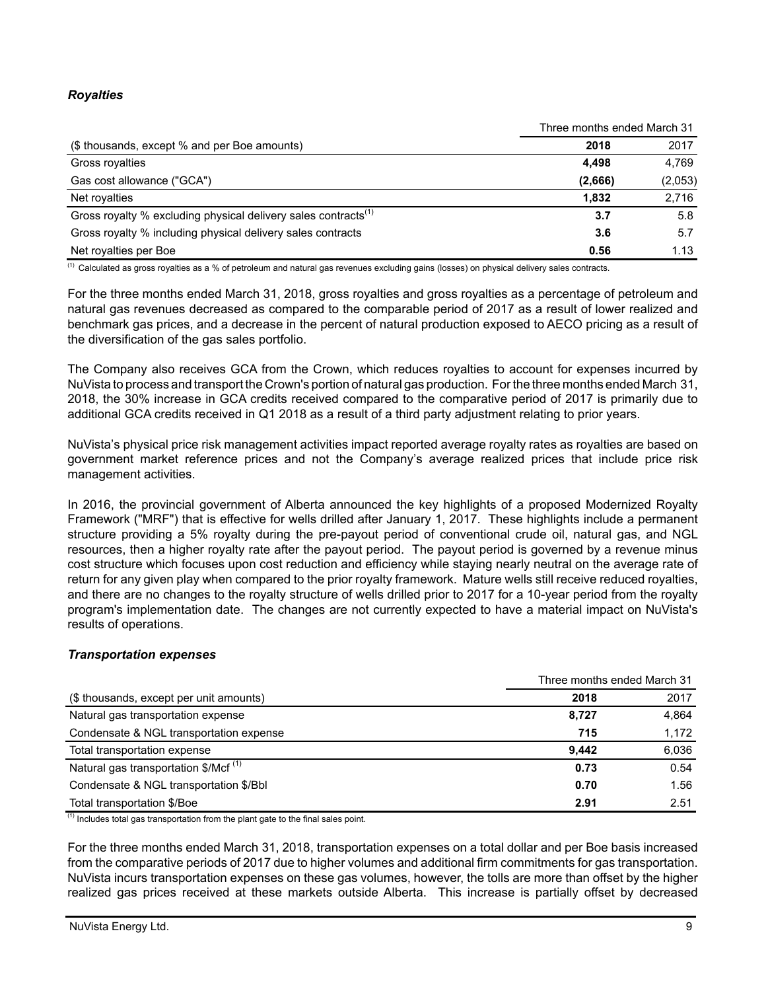# *Royalties*

|                                                                            | Three months ended March 31 |         |  |
|----------------------------------------------------------------------------|-----------------------------|---------|--|
| (\$ thousands, except % and per Boe amounts)                               | 2018                        | 2017    |  |
| Gross royalties                                                            | 4.498                       | 4.769   |  |
| Gas cost allowance ("GCA")                                                 | (2,666)                     | (2,053) |  |
| Net royalties                                                              | 1.832                       | 2,716   |  |
| Gross royalty % excluding physical delivery sales contracts <sup>(1)</sup> | 3.7                         | 5.8     |  |
| Gross royalty % including physical delivery sales contracts                | 3.6                         | 5.7     |  |
| Net royalties per Boe                                                      | 0.56                        | 1.13    |  |

 $<sup>(1)</sup>$  Calculated as gross royalties as a % of petroleum and natural gas revenues excluding gains (losses) on physical delivery sales contracts.</sup>

For the three months ended March 31, 2018, gross royalties and gross royalties as a percentage of petroleum and natural gas revenues decreased as compared to the comparable period of 2017 as a result of lower realized and benchmark gas prices, and a decrease in the percent of natural production exposed to AECO pricing as a result of the diversification of the gas sales portfolio.

The Company also receives GCA from the Crown, which reduces royalties to account for expenses incurred by NuVista to process and transport the Crown's portion of natural gas production. For the three months ended March 31, 2018, the 30% increase in GCA credits received compared to the comparative period of 2017 is primarily due to additional GCA credits received in Q1 2018 as a result of a third party adjustment relating to prior years.

NuVista's physical price risk management activities impact reported average royalty rates as royalties are based on government market reference prices and not the Company's average realized prices that include price risk management activities.

In 2016, the provincial government of Alberta announced the key highlights of a proposed Modernized Royalty Framework ("MRF") that is effective for wells drilled after January 1, 2017. These highlights include a permanent structure providing a 5% royalty during the pre-payout period of conventional crude oil, natural gas, and NGL resources, then a higher royalty rate after the payout period. The payout period is governed by a revenue minus cost structure which focuses upon cost reduction and efficiency while staying nearly neutral on the average rate of return for any given play when compared to the prior royalty framework. Mature wells still receive reduced royalties, and there are no changes to the royalty structure of wells drilled prior to 2017 for a 10-year period from the royalty program's implementation date. The changes are not currently expected to have a material impact on NuVista's results of operations.

# *Transportation expenses*

|                                                   | Three months ended March 31 |       |
|---------------------------------------------------|-----------------------------|-------|
| (\$ thousands, except per unit amounts)           | 2018                        | 2017  |
| Natural gas transportation expense                | 8,727                       | 4,864 |
| Condensate & NGL transportation expense           | 715                         | 1,172 |
| Total transportation expense                      | 9.442                       | 6,036 |
| Natural gas transportation $$/Mcf$ <sup>(1)</sup> | 0.73                        | 0.54  |
| Condensate & NGL transportation \$/Bbl            | 0.70                        | 1.56  |
| Total transportation \$/Boe                       | 2.91                        | 2.51  |

 $<sup>(1)</sup>$  Includes total gas transportation from the plant gate to the final sales point.</sup>

For the three months ended March 31, 2018, transportation expenses on a total dollar and per Boe basis increased from the comparative periods of 2017 due to higher volumes and additional firm commitments for gas transportation. NuVista incurs transportation expenses on these gas volumes, however, the tolls are more than offset by the higher realized gas prices received at these markets outside Alberta. This increase is partially offset by decreased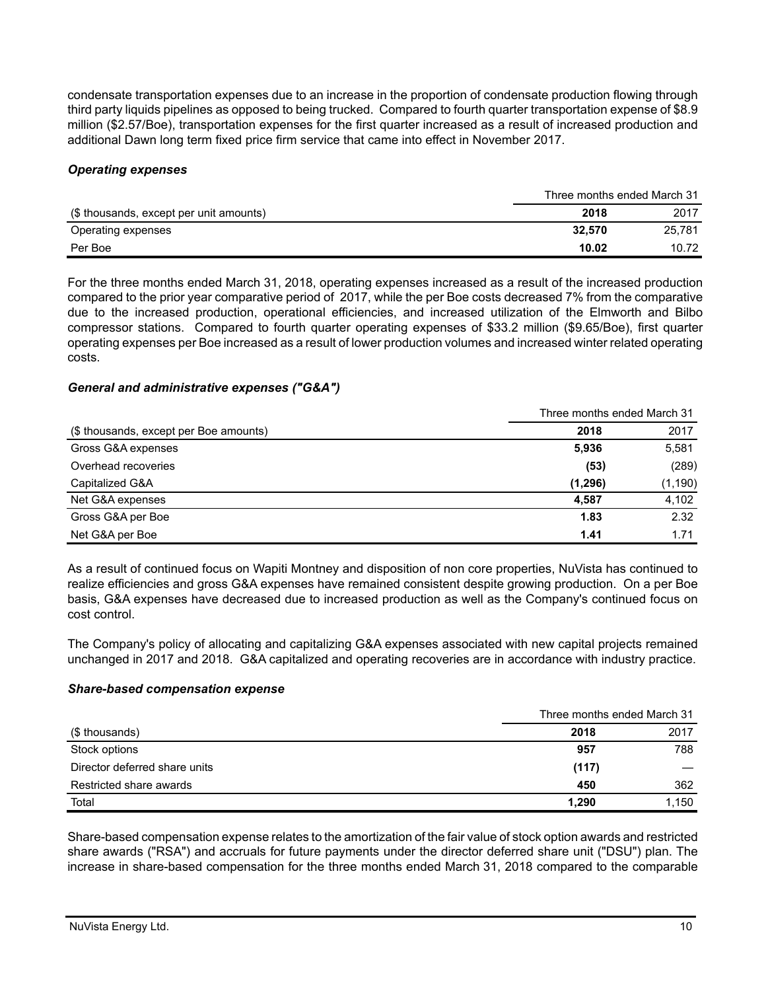condensate transportation expenses due to an increase in the proportion of condensate production flowing through third party liquids pipelines as opposed to being trucked. Compared to fourth quarter transportation expense of \$8.9 million (\$2.57/Boe), transportation expenses for the first quarter increased as a result of increased production and additional Dawn long term fixed price firm service that came into effect in November 2017.

### *Operating expenses*

|                                         | Three months ended March 31 |        |  |
|-----------------------------------------|-----------------------------|--------|--|
| (\$ thousands, except per unit amounts) | 2018                        | 2017   |  |
| Operating expenses                      | 32.570                      | 25.781 |  |
| Per Boe                                 | 10.02                       | 10.72  |  |

For the three months ended March 31, 2018, operating expenses increased as a result of the increased production compared to the prior year comparative period of 2017, while the per Boe costs decreased 7% from the comparative due to the increased production, operational efficiencies, and increased utilization of the Elmworth and Bilbo compressor stations. Compared to fourth quarter operating expenses of \$33.2 million (\$9.65/Boe), first quarter operating expenses per Boe increased as a result of lower production volumes and increased winter related operating costs.

#### *General and administrative expenses ("G&A")*

|                                        | Three months ended March 31 |          |  |
|----------------------------------------|-----------------------------|----------|--|
| (\$ thousands, except per Boe amounts) | 2018                        | 2017     |  |
| Gross G&A expenses                     | 5,936                       | 5,581    |  |
| Overhead recoveries                    | (53)                        | (289)    |  |
| Capitalized G&A                        | (1,296)                     | (1, 190) |  |
| Net G&A expenses                       | 4.587                       | 4,102    |  |
| Gross G&A per Boe                      | 1.83                        | 2.32     |  |
| Net G&A per Boe                        | 1.41                        | 1.71     |  |

As a result of continued focus on Wapiti Montney and disposition of non core properties, NuVista has continued to realize efficiencies and gross G&A expenses have remained consistent despite growing production. On a per Boe basis, G&A expenses have decreased due to increased production as well as the Company's continued focus on cost control.

The Company's policy of allocating and capitalizing G&A expenses associated with new capital projects remained unchanged in 2017 and 2018. G&A capitalized and operating recoveries are in accordance with industry practice.

#### *Share-based compensation expense*

|                               | Three months ended March 31 |       |  |
|-------------------------------|-----------------------------|-------|--|
| (\$ thousands)                | 2018                        | 2017  |  |
| Stock options                 | 957                         | 788   |  |
| Director deferred share units | (117)                       |       |  |
| Restricted share awards       | 450                         | 362   |  |
| Total                         | 1,290                       | 1,150 |  |

Share-based compensation expense relates to the amortization of the fair value of stock option awards and restricted share awards ("RSA") and accruals for future payments under the director deferred share unit ("DSU") plan. The increase in share-based compensation for the three months ended March 31, 2018 compared to the comparable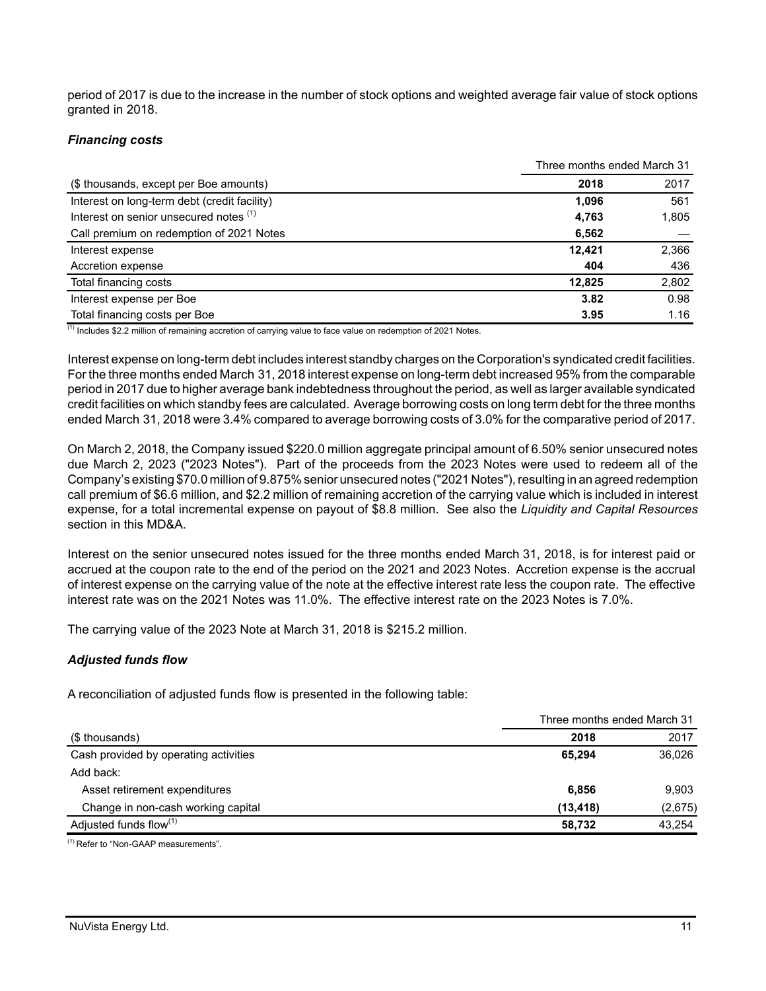period of 2017 is due to the increase in the number of stock options and weighted average fair value of stock options granted in 2018.

### *Financing costs*

|                                              | Three months ended March 31 |       |  |
|----------------------------------------------|-----------------------------|-------|--|
| (\$ thousands, except per Boe amounts)       | 2018                        | 2017  |  |
| Interest on long-term debt (credit facility) | 1.096                       | 561   |  |
| Interest on senior unsecured notes (1)       | 4,763                       | 1,805 |  |
| Call premium on redemption of 2021 Notes     | 6,562                       |       |  |
| Interest expense                             | 12,421                      | 2,366 |  |
| Accretion expense                            | 404                         | 436   |  |
| Total financing costs                        | 12.825                      | 2,802 |  |
| Interest expense per Boe                     | 3.82                        | 0.98  |  |
| Total financing costs per Boe                | 3.95                        | 1.16  |  |

 $\overline{^{(1)}}$  Includes \$2.2 million of remaining accretion of carrying value to face value on redemption of 2021 Notes.

Interest expense on long-term debt includes interest standby charges on the Corporation's syndicated credit facilities. For the three months ended March 31, 2018 interest expense on long-term debt increased 95% from the comparable period in 2017 due to higher average bank indebtedness throughout the period, as well as larger available syndicated credit facilities on which standby fees are calculated. Average borrowing costs on long term debt for the three months ended March 31, 2018 were 3.4% compared to average borrowing costs of 3.0% for the comparative period of 2017.

On March 2, 2018, the Company issued \$220.0 million aggregate principal amount of 6.50% senior unsecured notes due March 2, 2023 ("2023 Notes"). Part of the proceeds from the 2023 Notes were used to redeem all of the Company's existing \$70.0 million of 9.875% senior unsecured notes ("2021 Notes"), resulting in an agreed redemption call premium of \$6.6 million, and \$2.2 million of remaining accretion of the carrying value which is included in interest expense, for a total incremental expense on payout of \$8.8 million. See also the *Liquidity and Capital Resources* section in this MD&A.

Interest on the senior unsecured notes issued for the three months ended March 31, 2018, is for interest paid or accrued at the coupon rate to the end of the period on the 2021 and 2023 Notes. Accretion expense is the accrual of interest expense on the carrying value of the note at the effective interest rate less the coupon rate. The effective interest rate was on the 2021 Notes was 11.0%. The effective interest rate on the 2023 Notes is 7.0%.

The carrying value of the 2023 Note at March 31, 2018 is \$215.2 million.

# *Adjusted funds flow*

A reconciliation of adjusted funds flow is presented in the following table:

|                                       | Three months ended March 31 |         |  |
|---------------------------------------|-----------------------------|---------|--|
| (\$ thousands)                        | 2018                        | 2017    |  |
| Cash provided by operating activities | 65.294                      | 36,026  |  |
| Add back:                             |                             |         |  |
| Asset retirement expenditures         | 6.856                       | 9.903   |  |
| Change in non-cash working capital    | (13, 418)                   | (2,675) |  |
| Adjusted funds flow <sup>(1)</sup>    | 58,732                      | 43.254  |  |

(1) Refer to "Non-GAAP measurements".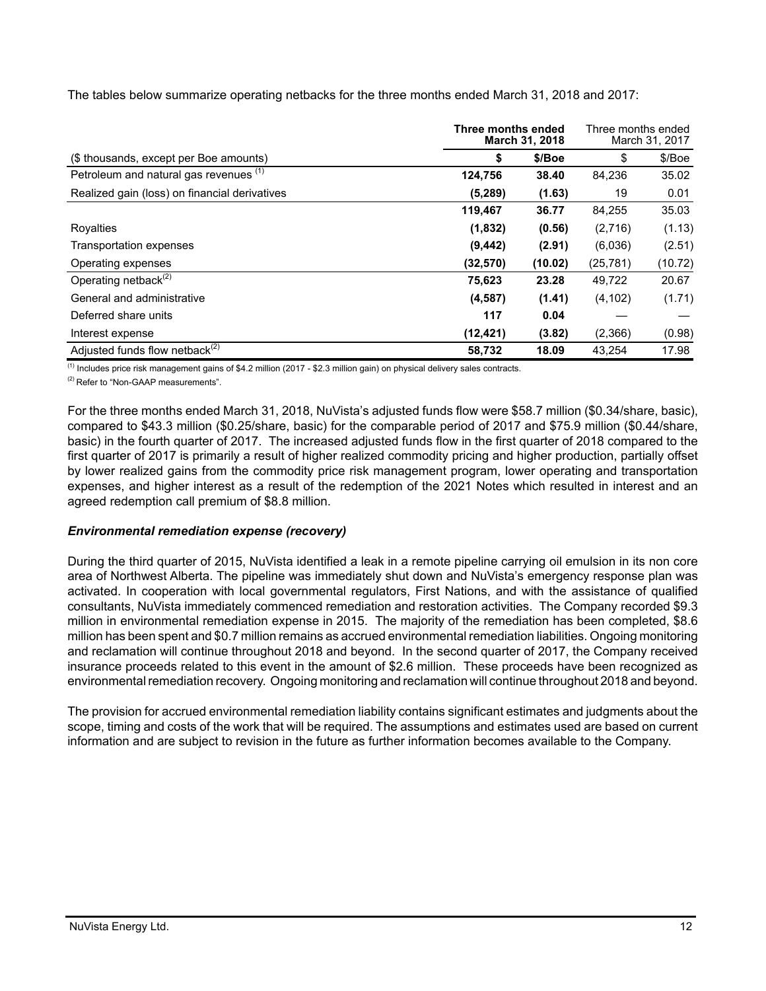The tables below summarize operating netbacks for the three months ended March 31, 2018 and 2017:

|                                               |           | Three months ended<br>March 31, 2018 |           |         |
|-----------------------------------------------|-----------|--------------------------------------|-----------|---------|
| (\$ thousands, except per Boe amounts)        | \$        | \$/Boe                               | \$        | \$/Boe  |
| Petroleum and natural gas revenues (1)        | 124,756   | 38.40                                | 84,236    | 35.02   |
| Realized gain (loss) on financial derivatives | (5,289)   | (1.63)                               | 19        | 0.01    |
|                                               | 119,467   | 36.77                                | 84,255    | 35.03   |
| Royalties                                     | (1,832)   | (0.56)                               | (2,716)   | (1.13)  |
| Transportation expenses                       | (9, 442)  | (2.91)                               | (6,036)   | (2.51)  |
| Operating expenses                            | (32, 570) | (10.02)                              | (25, 781) | (10.72) |
| Operating netback $(2)$                       | 75,623    | 23.28                                | 49,722    | 20.67   |
| General and administrative                    | (4, 587)  | (1.41)                               | (4, 102)  | (1.71)  |
| Deferred share units                          | 117       | 0.04                                 |           |         |
| Interest expense                              | (12, 421) | (3.82)                               | (2,366)   | (0.98)  |
| Adjusted funds flow netback <sup>(2)</sup>    | 58.732    | 18.09                                | 43.254    | 17.98   |

 $<sup>(1)</sup>$  Includes price risk management gains of \$4.2 million (2017 - \$2.3 million gain) on physical delivery sales contracts.</sup>

<sup>(2)</sup> Refer to "Non-GAAP measurements".

For the three months ended March 31, 2018, NuVista's adjusted funds flow were \$58.7 million (\$0.34/share, basic), compared to \$43.3 million (\$0.25/share, basic) for the comparable period of 2017 and \$75.9 million (\$0.44/share, basic) in the fourth quarter of 2017. The increased adjusted funds flow in the first quarter of 2018 compared to the first quarter of 2017 is primarily a result of higher realized commodity pricing and higher production, partially offset by lower realized gains from the commodity price risk management program, lower operating and transportation expenses, and higher interest as a result of the redemption of the 2021 Notes which resulted in interest and an agreed redemption call premium of \$8.8 million.

# *Environmental remediation expense (recovery)*

During the third quarter of 2015, NuVista identified a leak in a remote pipeline carrying oil emulsion in its non core area of Northwest Alberta. The pipeline was immediately shut down and NuVista's emergency response plan was activated. In cooperation with local governmental regulators, First Nations, and with the assistance of qualified consultants, NuVista immediately commenced remediation and restoration activities. The Company recorded \$9.3 million in environmental remediation expense in 2015. The majority of the remediation has been completed, \$8.6 million has been spent and \$0.7 million remains as accrued environmental remediation liabilities. Ongoing monitoring and reclamation will continue throughout 2018 and beyond. In the second quarter of 2017, the Company received insurance proceeds related to this event in the amount of \$2.6 million. These proceeds have been recognized as environmental remediation recovery. Ongoing monitoring and reclamation will continue throughout 2018 and beyond.

The provision for accrued environmental remediation liability contains significant estimates and judgments about the scope, timing and costs of the work that will be required. The assumptions and estimates used are based on current information and are subject to revision in the future as further information becomes available to the Company.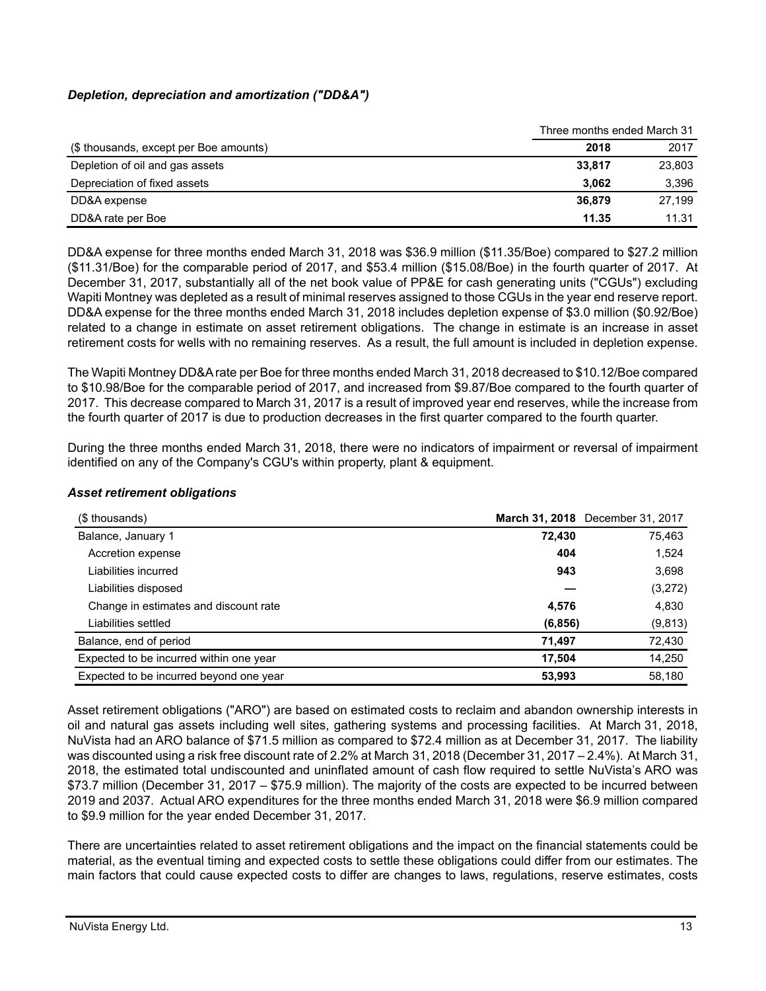# *Depletion, depreciation and amortization ("DD&A")*

|                                        | Three months ended March 31 |        |
|----------------------------------------|-----------------------------|--------|
| (\$ thousands, except per Boe amounts) | 2018                        | 2017   |
| Depletion of oil and gas assets        | 33,817                      | 23,803 |
| Depreciation of fixed assets           | 3.062                       | 3.396  |
| DD&A expense                           | 36.879                      | 27.199 |
| DD&A rate per Boe                      | 11.35                       | 11.31  |

DD&A expense for three months ended March 31, 2018 was \$36.9 million (\$11.35/Boe) compared to \$27.2 million (\$11.31/Boe) for the comparable period of 2017, and \$53.4 million (\$15.08/Boe) in the fourth quarter of 2017. At December 31, 2017, substantially all of the net book value of PP&E for cash generating units ("CGUs") excluding Wapiti Montney was depleted as a result of minimal reserves assigned to those CGUs in the year end reserve report. DD&A expense for the three months ended March 31, 2018 includes depletion expense of \$3.0 million (\$0.92/Boe) related to a change in estimate on asset retirement obligations. The change in estimate is an increase in asset retirement costs for wells with no remaining reserves. As a result, the full amount is included in depletion expense.

The Wapiti Montney DD&A rate per Boe for three months ended March 31, 2018 decreased to \$10.12/Boe compared to \$10.98/Boe for the comparable period of 2017, and increased from \$9.87/Boe compared to the fourth quarter of 2017. This decrease compared to March 31, 2017 is a result of improved year end reserves, while the increase from the fourth quarter of 2017 is due to production decreases in the first quarter compared to the fourth quarter.

During the three months ended March 31, 2018, there were no indicators of impairment or reversal of impairment identified on any of the Company's CGU's within property, plant & equipment.

| (\$ thousands)                          |          | March 31, 2018 December 31, 2017 |
|-----------------------------------------|----------|----------------------------------|
| Balance, January 1                      | 72,430   | 75,463                           |
| Accretion expense                       | 404      | 1,524                            |
| Liabilities incurred                    | 943      | 3,698                            |
| Liabilities disposed                    |          | (3,272)                          |
| Change in estimates and discount rate   | 4.576    | 4,830                            |
| Liabilities settled                     | (6, 856) | (9, 813)                         |
| Balance, end of period                  | 71.497   | 72,430                           |
| Expected to be incurred within one year | 17.504   | 14,250                           |
| Expected to be incurred beyond one year | 53,993   | 58,180                           |

# *Asset retirement obligations*

Asset retirement obligations ("ARO") are based on estimated costs to reclaim and abandon ownership interests in oil and natural gas assets including well sites, gathering systems and processing facilities. At March 31, 2018, NuVista had an ARO balance of \$71.5 million as compared to \$72.4 million as at December 31, 2017. The liability was discounted using a risk free discount rate of 2.2% at March 31, 2018 (December 31, 2017 – 2.4%). At March 31, 2018, the estimated total undiscounted and uninflated amount of cash flow required to settle NuVista's ARO was \$73.7 million (December 31, 2017 – \$75.9 million). The majority of the costs are expected to be incurred between 2019 and 2037. Actual ARO expenditures for the three months ended March 31, 2018 were \$6.9 million compared to \$9.9 million for the year ended December 31, 2017.

There are uncertainties related to asset retirement obligations and the impact on the financial statements could be material, as the eventual timing and expected costs to settle these obligations could differ from our estimates. The main factors that could cause expected costs to differ are changes to laws, regulations, reserve estimates, costs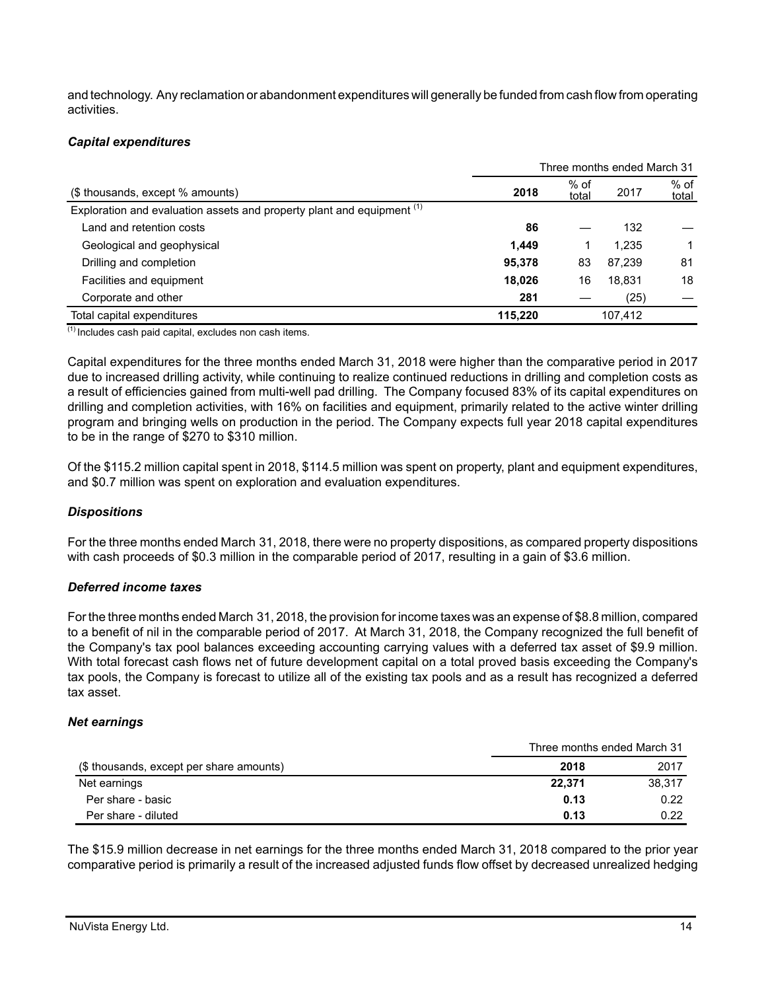and technology. Any reclamation or abandonment expenditures will generally be funded from cash flow from operating activities.

# *Capital expenditures*

|                                                                                   | Three months ended March 31 |                 |         |                 |
|-----------------------------------------------------------------------------------|-----------------------------|-----------------|---------|-----------------|
| (\$ thousands, except % amounts)                                                  | 2018                        | $%$ of<br>total | 2017    | $%$ of<br>total |
| Exploration and evaluation assets and property plant and equipment <sup>(1)</sup> |                             |                 |         |                 |
| Land and retention costs                                                          | 86                          |                 | 132     |                 |
| Geological and geophysical                                                        | 1.449                       |                 | 1.235   |                 |
| Drilling and completion                                                           | 95,378                      | 83              | 87,239  | 81              |
| Facilities and equipment                                                          | 18,026                      | 16              | 18,831  | 18              |
| Corporate and other                                                               | 281                         |                 | (25)    |                 |
| Total capital expenditures                                                        | 115.220                     |                 | 107.412 |                 |

 $(1)$  Includes cash paid capital, excludes non cash items.

Capital expenditures for the three months ended March 31, 2018 were higher than the comparative period in 2017 due to increased drilling activity, while continuing to realize continued reductions in drilling and completion costs as a result of efficiencies gained from multi-well pad drilling. The Company focused 83% of its capital expenditures on drilling and completion activities, with 16% on facilities and equipment, primarily related to the active winter drilling program and bringing wells on production in the period. The Company expects full year 2018 capital expenditures to be in the range of \$270 to \$310 million.

Of the \$115.2 million capital spent in 2018, \$114.5 million was spent on property, plant and equipment expenditures, and \$0.7 million was spent on exploration and evaluation expenditures.

# *Dispositions*

For the three months ended March 31, 2018, there were no property dispositions, as compared property dispositions with cash proceeds of \$0.3 million in the comparable period of 2017, resulting in a gain of \$3.6 million.

# *Deferred income taxes*

For the three months ended March 31, 2018, the provision for income taxes was an expense of \$8.8 million, compared to a benefit of nil in the comparable period of 2017. At March 31, 2018, the Company recognized the full benefit of the Company's tax pool balances exceeding accounting carrying values with a deferred tax asset of \$9.9 million. With total forecast cash flows net of future development capital on a total proved basis exceeding the Company's tax pools, the Company is forecast to utilize all of the existing tax pools and as a result has recognized a deferred tax asset.

# *Net earnings*

|                                          |        | Three months ended March 31 |  |  |
|------------------------------------------|--------|-----------------------------|--|--|
| (\$ thousands, except per share amounts) | 2018   | 2017                        |  |  |
| Net earnings                             | 22,371 | 38.317                      |  |  |
| Per share - basic                        | 0.13   | 0.22                        |  |  |
| Per share - diluted                      | 0.13   | 0.22                        |  |  |

The \$15.9 million decrease in net earnings for the three months ended March 31, 2018 compared to the prior year comparative period is primarily a result of the increased adjusted funds flow offset by decreased unrealized hedging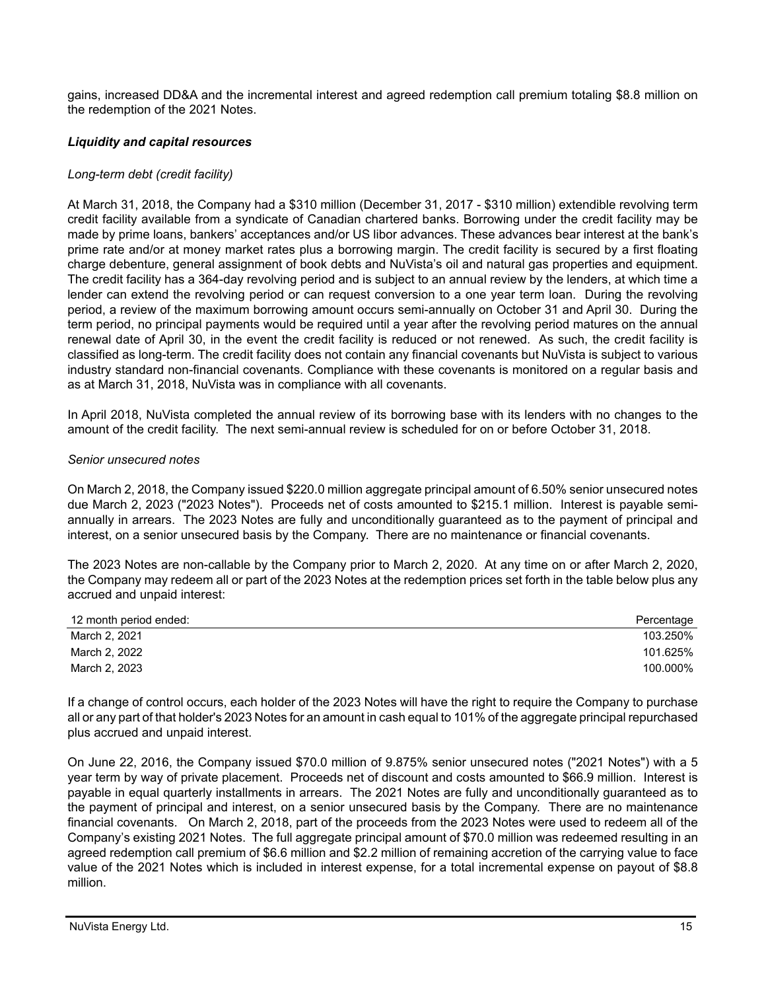gains, increased DD&A and the incremental interest and agreed redemption call premium totaling \$8.8 million on the redemption of the 2021 Notes.

# *Liquidity and capital resources*

# *Long-term debt (credit facility)*

At March 31, 2018, the Company had a \$310 million (December 31, 2017 - \$310 million) extendible revolving term credit facility available from a syndicate of Canadian chartered banks. Borrowing under the credit facility may be made by prime loans, bankers' acceptances and/or US libor advances. These advances bear interest at the bank's prime rate and/or at money market rates plus a borrowing margin. The credit facility is secured by a first floating charge debenture, general assignment of book debts and NuVista's oil and natural gas properties and equipment. The credit facility has a 364-day revolving period and is subject to an annual review by the lenders, at which time a lender can extend the revolving period or can request conversion to a one year term loan. During the revolving period, a review of the maximum borrowing amount occurs semi-annually on October 31 and April 30. During the term period, no principal payments would be required until a year after the revolving period matures on the annual renewal date of April 30, in the event the credit facility is reduced or not renewed. As such, the credit facility is classified as long-term. The credit facility does not contain any financial covenants but NuVista is subject to various industry standard non-financial covenants. Compliance with these covenants is monitored on a regular basis and as at March 31, 2018, NuVista was in compliance with all covenants.

In April 2018, NuVista completed the annual review of its borrowing base with its lenders with no changes to the amount of the credit facility. The next semi-annual review is scheduled for on or before October 31, 2018.

#### *Senior unsecured notes*

On March 2, 2018, the Company issued \$220.0 million aggregate principal amount of 6.50% senior unsecured notes due March 2, 2023 ("2023 Notes"). Proceeds net of costs amounted to \$215.1 million. Interest is payable semiannually in arrears. The 2023 Notes are fully and unconditionally guaranteed as to the payment of principal and interest, on a senior unsecured basis by the Company. There are no maintenance or financial covenants.

The 2023 Notes are non-callable by the Company prior to March 2, 2020. At any time on or after March 2, 2020, the Company may redeem all or part of the 2023 Notes at the redemption prices set forth in the table below plus any accrued and unpaid interest:

| 12 month period ended: | Percentage |
|------------------------|------------|
| March 2, 2021          | 103.250%   |
| March 2, 2022          | 101.625%   |
| March 2, 2023          | 100.000%   |

If a change of control occurs, each holder of the 2023 Notes will have the right to require the Company to purchase all or any part of that holder's 2023 Notes for an amount in cash equal to 101% of the aggregate principal repurchased plus accrued and unpaid interest.

On June 22, 2016, the Company issued \$70.0 million of 9.875% senior unsecured notes ("2021 Notes") with a 5 year term by way of private placement. Proceeds net of discount and costs amounted to \$66.9 million. Interest is payable in equal quarterly installments in arrears. The 2021 Notes are fully and unconditionally guaranteed as to the payment of principal and interest, on a senior unsecured basis by the Company. There are no maintenance financial covenants. On March 2, 2018, part of the proceeds from the 2023 Notes were used to redeem all of the Company's existing 2021 Notes. The full aggregate principal amount of \$70.0 million was redeemed resulting in an agreed redemption call premium of \$6.6 million and \$2.2 million of remaining accretion of the carrying value to face value of the 2021 Notes which is included in interest expense, for a total incremental expense on payout of \$8.8 million.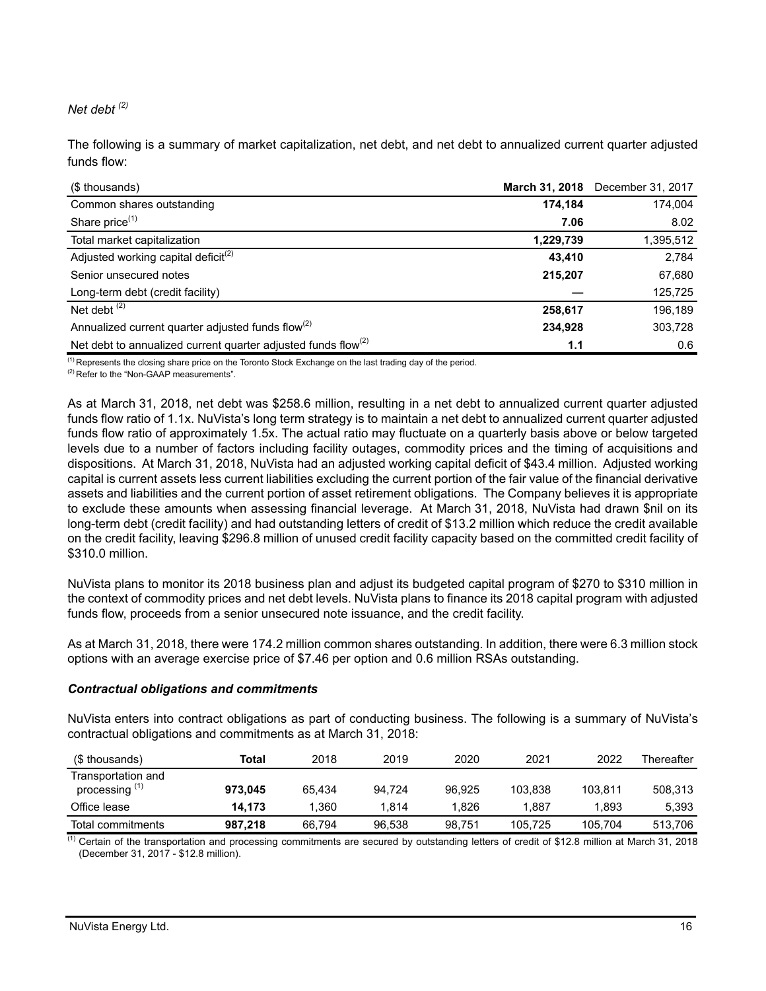# *Net debt (2)*

The following is a summary of market capitalization, net debt, and net debt to annualized current quarter adjusted funds flow:

| (\$ thousands)                                                            |           | March 31, 2018 December 31, 2017 |
|---------------------------------------------------------------------------|-----------|----------------------------------|
| Common shares outstanding                                                 | 174,184   | 174,004                          |
| Share price <sup>(1)</sup>                                                | 7.06      | 8.02                             |
| Total market capitalization                                               | 1,229,739 | 1,395,512                        |
| Adjusted working capital deficit <sup>(2)</sup>                           | 43.410    | 2.784                            |
| Senior unsecured notes                                                    | 215,207   | 67,680                           |
| Long-term debt (credit facility)                                          |           | 125,725                          |
| Net debt $(2)$                                                            | 258,617   | 196,189                          |
| Annualized current quarter adjusted funds flow <sup>(2)</sup>             | 234,928   | 303,728                          |
| Net debt to annualized current quarter adjusted funds flow <sup>(2)</sup> | 1.1       | 0.6                              |

<sup>(1)</sup> Represents the closing share price on the Toronto Stock Exchange on the last trading day of the period.

<sup>(2)</sup> Refer to the "Non-GAAP measurements".

As at March 31, 2018, net debt was \$258.6 million, resulting in a net debt to annualized current quarter adjusted funds flow ratio of 1.1x. NuVista's long term strategy is to maintain a net debt to annualized current quarter adjusted funds flow ratio of approximately 1.5x. The actual ratio may fluctuate on a quarterly basis above or below targeted levels due to a number of factors including facility outages, commodity prices and the timing of acquisitions and dispositions. At March 31, 2018, NuVista had an adjusted working capital deficit of \$43.4 million. Adjusted working capital is current assets less current liabilities excluding the current portion of the fair value of the financial derivative assets and liabilities and the current portion of asset retirement obligations. The Company believes it is appropriate to exclude these amounts when assessing financial leverage. At March 31, 2018, NuVista had drawn \$nil on its long-term debt (credit facility) and had outstanding letters of credit of \$13.2 million which reduce the credit available on the credit facility, leaving \$296.8 million of unused credit facility capacity based on the committed credit facility of \$310.0 million.

NuVista plans to monitor its 2018 business plan and adjust its budgeted capital program of \$270 to \$310 million in the context of commodity prices and net debt levels. NuVista plans to finance its 2018 capital program with adjusted funds flow, proceeds from a senior unsecured note issuance, and the credit facility.

As at March 31, 2018, there were 174.2 million common shares outstanding. In addition, there were 6.3 million stock options with an average exercise price of \$7.46 per option and 0.6 million RSAs outstanding.

#### *Contractual obligations and commitments*

NuVista enters into contract obligations as part of conducting business. The following is a summary of NuVista's contractual obligations and commitments as at March 31, 2018:

| (\$ thousands)                                  | Total   | 2018   | 2019   | 2020   | 2021    | 2022    | Thereafter |
|-------------------------------------------------|---------|--------|--------|--------|---------|---------|------------|
| Transportation and<br>processing <sup>(1)</sup> | 973.045 | 65.434 | 94.724 | 96.925 | 103.838 | 103.811 | 508.313    |
| Office lease                                    | 14.173  | 1.360  | 1.814  | 1.826  | 1.887   | 1.893   | 5.393      |
| Total commitments                               | 987.218 | 66.794 | 96.538 | 98,751 | 105.725 | 105,704 | 513.706    |

 $\overline{^{(1)}}$  Certain of the transportation and processing commitments are secured by outstanding letters of credit of \$12.8 million at March 31, 2018 (December 31, 2017 - \$12.8 million).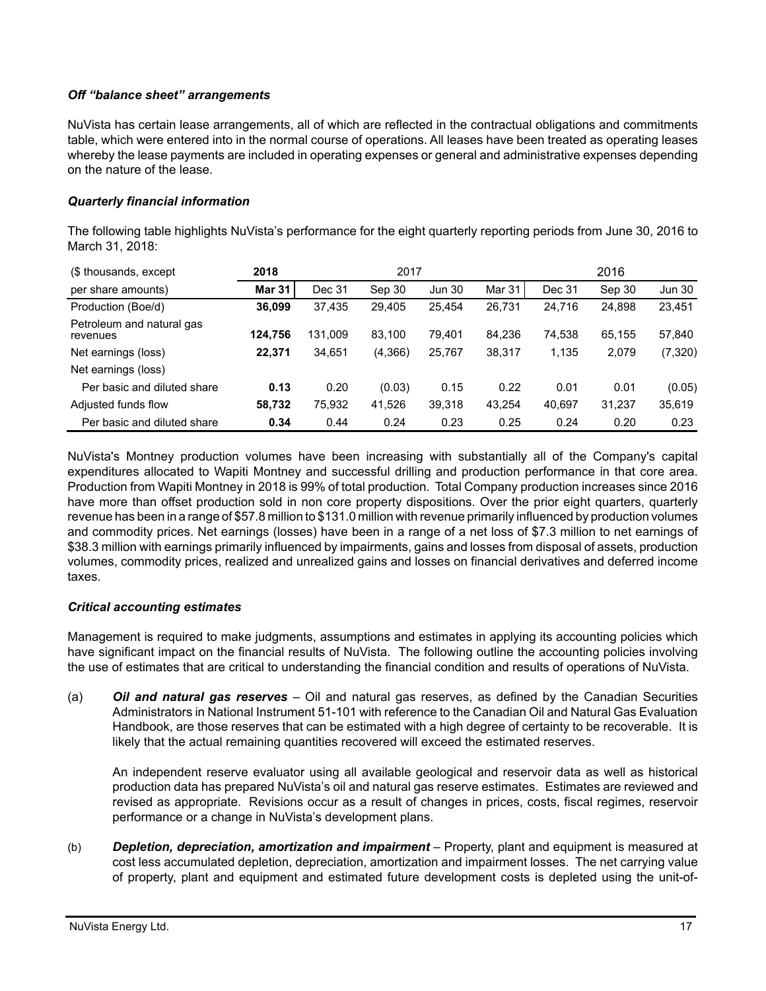# *Off "balance sheet" arrangements*

NuVista has certain lease arrangements, all of which are reflected in the contractual obligations and commitments table, which were entered into in the normal course of operations. All leases have been treated as operating leases whereby the lease payments are included in operating expenses or general and administrative expenses depending on the nature of the lease.

# *Quarterly financial information*

The following table highlights NuVista's performance for the eight quarterly reporting periods from June 30, 2016 to March 31, 2018:

| (\$ thousands, except                 | 2018          | 2017    |         |               | 2016   |        |        |               |
|---------------------------------------|---------------|---------|---------|---------------|--------|--------|--------|---------------|
| per share amounts)                    | <b>Mar 31</b> | Dec 31  | Sep 30  | <b>Jun 30</b> | Mar 31 | Dec 31 | Sep 30 | <b>Jun 30</b> |
| Production (Boe/d)                    | 36.099        | 37,435  | 29.405  | 25,454        | 26,731 | 24,716 | 24,898 | 23,451        |
| Petroleum and natural gas<br>revenues | 124.756       | 131.009 | 83.100  | 79.401        | 84,236 | 74.538 | 65.155 | 57,840        |
| Net earnings (loss)                   | 22.371        | 34,651  | (4,366) | 25,767        | 38,317 | 1,135  | 2,079  | (7, 320)      |
| Net earnings (loss)                   |               |         |         |               |        |        |        |               |
| Per basic and diluted share           | 0.13          | 0.20    | (0.03)  | 0.15          | 0.22   | 0.01   | 0.01   | (0.05)        |
| Adjusted funds flow                   | 58,732        | 75,932  | 41,526  | 39,318        | 43,254 | 40,697 | 31,237 | 35,619        |
| Per basic and diluted share           | 0.34          | 0.44    | 0.24    | 0.23          | 0.25   | 0.24   | 0.20   | 0.23          |

NuVista's Montney production volumes have been increasing with substantially all of the Company's capital expenditures allocated to Wapiti Montney and successful drilling and production performance in that core area. Production from Wapiti Montney in 2018 is 99% of total production. Total Company production increases since 2016 have more than offset production sold in non core property dispositions. Over the prior eight quarters, quarterly revenue has been in a range of \$57.8 million to \$131.0 million with revenue primarily influenced by production volumes and commodity prices. Net earnings (losses) have been in a range of a net loss of \$7.3 million to net earnings of \$38.3 million with earnings primarily influenced by impairments, gains and losses from disposal of assets, production volumes, commodity prices, realized and unrealized gains and losses on financial derivatives and deferred income taxes.

# *Critical accounting estimates*

Management is required to make judgments, assumptions and estimates in applying its accounting policies which have significant impact on the financial results of NuVista. The following outline the accounting policies involving the use of estimates that are critical to understanding the financial condition and results of operations of NuVista.

(a) *Oil and natural gas reserves* – Oil and natural gas reserves, as defined by the Canadian Securities Administrators in National Instrument 51-101 with reference to the Canadian Oil and Natural Gas Evaluation Handbook, are those reserves that can be estimated with a high degree of certainty to be recoverable. It is likely that the actual remaining quantities recovered will exceed the estimated reserves.

An independent reserve evaluator using all available geological and reservoir data as well as historical production data has prepared NuVista's oil and natural gas reserve estimates. Estimates are reviewed and revised as appropriate. Revisions occur as a result of changes in prices, costs, fiscal regimes, reservoir performance or a change in NuVista's development plans.

(b) *Depletion, depreciation, amortization and impairment* – Property, plant and equipment is measured at cost less accumulated depletion, depreciation, amortization and impairment losses. The net carrying value of property, plant and equipment and estimated future development costs is depleted using the unit-of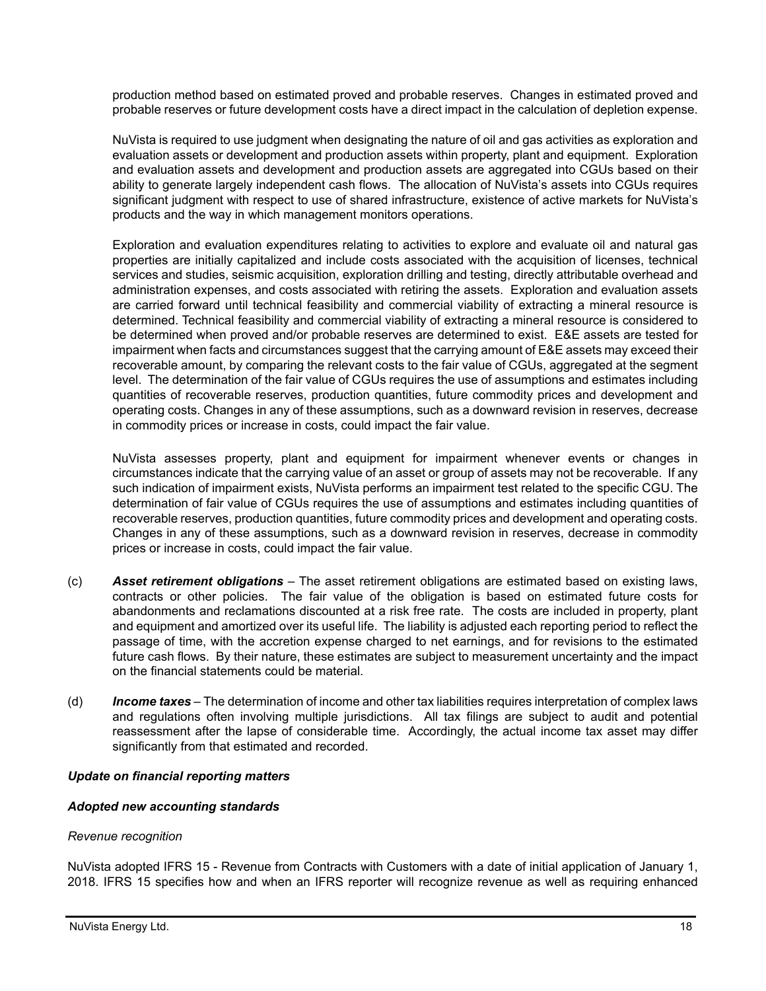production method based on estimated proved and probable reserves. Changes in estimated proved and probable reserves or future development costs have a direct impact in the calculation of depletion expense.

NuVista is required to use judgment when designating the nature of oil and gas activities as exploration and evaluation assets or development and production assets within property, plant and equipment. Exploration and evaluation assets and development and production assets are aggregated into CGUs based on their ability to generate largely independent cash flows. The allocation of NuVista's assets into CGUs requires significant judgment with respect to use of shared infrastructure, existence of active markets for NuVista's products and the way in which management monitors operations.

Exploration and evaluation expenditures relating to activities to explore and evaluate oil and natural gas properties are initially capitalized and include costs associated with the acquisition of licenses, technical services and studies, seismic acquisition, exploration drilling and testing, directly attributable overhead and administration expenses, and costs associated with retiring the assets. Exploration and evaluation assets are carried forward until technical feasibility and commercial viability of extracting a mineral resource is determined. Technical feasibility and commercial viability of extracting a mineral resource is considered to be determined when proved and/or probable reserves are determined to exist. E&E assets are tested for impairment when facts and circumstances suggest that the carrying amount of E&E assets may exceed their recoverable amount, by comparing the relevant costs to the fair value of CGUs, aggregated at the segment level. The determination of the fair value of CGUs requires the use of assumptions and estimates including quantities of recoverable reserves, production quantities, future commodity prices and development and operating costs. Changes in any of these assumptions, such as a downward revision in reserves, decrease in commodity prices or increase in costs, could impact the fair value.

NuVista assesses property, plant and equipment for impairment whenever events or changes in circumstances indicate that the carrying value of an asset or group of assets may not be recoverable. If any such indication of impairment exists, NuVista performs an impairment test related to the specific CGU. The determination of fair value of CGUs requires the use of assumptions and estimates including quantities of recoverable reserves, production quantities, future commodity prices and development and operating costs. Changes in any of these assumptions, such as a downward revision in reserves, decrease in commodity prices or increase in costs, could impact the fair value.

- (c) *Asset retirement obligations* The asset retirement obligations are estimated based on existing laws, contracts or other policies. The fair value of the obligation is based on estimated future costs for abandonments and reclamations discounted at a risk free rate. The costs are included in property, plant and equipment and amortized over its useful life. The liability is adjusted each reporting period to reflect the passage of time, with the accretion expense charged to net earnings, and for revisions to the estimated future cash flows. By their nature, these estimates are subject to measurement uncertainty and the impact on the financial statements could be material.
- (d) *Income taxes* The determination of income and other tax liabilities requires interpretation of complex laws and regulations often involving multiple jurisdictions. All tax filings are subject to audit and potential reassessment after the lapse of considerable time. Accordingly, the actual income tax asset may differ significantly from that estimated and recorded.

# *Update on financial reporting matters*

# *Adopted new accounting standards*

#### *Revenue recognition*

NuVista adopted IFRS 15 - Revenue from Contracts with Customers with a date of initial application of January 1, 2018. IFRS 15 specifies how and when an IFRS reporter will recognize revenue as well as requiring enhanced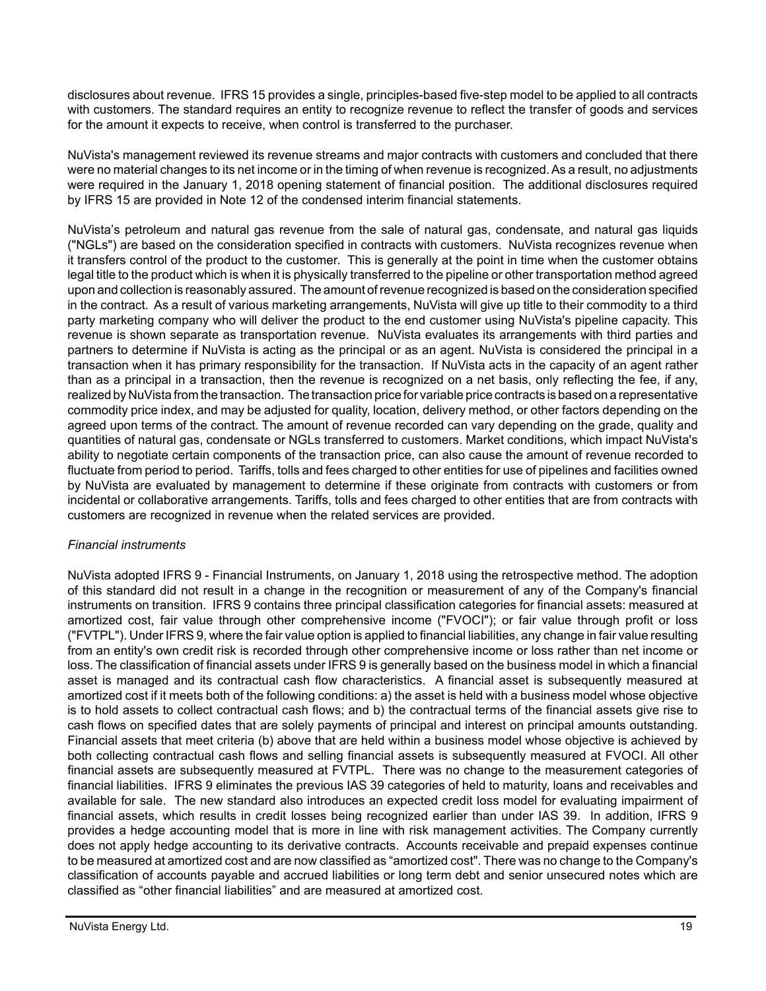disclosures about revenue. IFRS 15 provides a single, principles-based five-step model to be applied to all contracts with customers. The standard requires an entity to recognize revenue to reflect the transfer of goods and services for the amount it expects to receive, when control is transferred to the purchaser.

NuVista's management reviewed its revenue streams and major contracts with customers and concluded that there were no material changes to its net income or in the timing of when revenue is recognized. As a result, no adjustments were required in the January 1, 2018 opening statement of financial position. The additional disclosures required by IFRS 15 are provided in Note 12 of the condensed interim financial statements.

NuVista's petroleum and natural gas revenue from the sale of natural gas, condensate, and natural gas liquids ("NGLs") are based on the consideration specified in contracts with customers. NuVista recognizes revenue when it transfers control of the product to the customer. This is generally at the point in time when the customer obtains legal title to the product which is when it is physically transferred to the pipeline or other transportation method agreed upon and collection is reasonably assured. The amount of revenue recognized is based on the consideration specified in the contract. As a result of various marketing arrangements, NuVista will give up title to their commodity to a third party marketing company who will deliver the product to the end customer using NuVista's pipeline capacity. This revenue is shown separate as transportation revenue. NuVista evaluates its arrangements with third parties and partners to determine if NuVista is acting as the principal or as an agent. NuVista is considered the principal in a transaction when it has primary responsibility for the transaction. If NuVista acts in the capacity of an agent rather than as a principal in a transaction, then the revenue is recognized on a net basis, only reflecting the fee, if any, realized by NuVista from the transaction. The transaction price for variable price contracts is based on a representative commodity price index, and may be adjusted for quality, location, delivery method, or other factors depending on the agreed upon terms of the contract. The amount of revenue recorded can vary depending on the grade, quality and quantities of natural gas, condensate or NGLs transferred to customers. Market conditions, which impact NuVista's ability to negotiate certain components of the transaction price, can also cause the amount of revenue recorded to fluctuate from period to period. Tariffs, tolls and fees charged to other entities for use of pipelines and facilities owned by NuVista are evaluated by management to determine if these originate from contracts with customers or from incidental or collaborative arrangements. Tariffs, tolls and fees charged to other entities that are from contracts with customers are recognized in revenue when the related services are provided.

# *Financial instruments*

NuVista adopted IFRS 9 - Financial Instruments, on January 1, 2018 using the retrospective method. The adoption of this standard did not result in a change in the recognition or measurement of any of the Company's financial instruments on transition. IFRS 9 contains three principal classification categories for financial assets: measured at amortized cost, fair value through other comprehensive income ("FVOCI"); or fair value through profit or loss ("FVTPL"). Under IFRS 9, where the fair value option is applied to financial liabilities, any change in fair value resulting from an entity's own credit risk is recorded through other comprehensive income or loss rather than net income or loss. The classification of financial assets under IFRS 9 is generally based on the business model in which a financial asset is managed and its contractual cash flow characteristics. A financial asset is subsequently measured at amortized cost if it meets both of the following conditions: a) the asset is held with a business model whose objective is to hold assets to collect contractual cash flows; and b) the contractual terms of the financial assets give rise to cash flows on specified dates that are solely payments of principal and interest on principal amounts outstanding. Financial assets that meet criteria (b) above that are held within a business model whose objective is achieved by both collecting contractual cash flows and selling financial assets is subsequently measured at FVOCI. All other financial assets are subsequently measured at FVTPL. There was no change to the measurement categories of financial liabilities. IFRS 9 eliminates the previous IAS 39 categories of held to maturity, loans and receivables and available for sale. The new standard also introduces an expected credit loss model for evaluating impairment of financial assets, which results in credit losses being recognized earlier than under IAS 39. In addition, IFRS 9 provides a hedge accounting model that is more in line with risk management activities. The Company currently does not apply hedge accounting to its derivative contracts. Accounts receivable and prepaid expenses continue to be measured at amortized cost and are now classified as "amortized cost". There was no change to the Company's classification of accounts payable and accrued liabilities or long term debt and senior unsecured notes which are classified as "other financial liabilities" and are measured at amortized cost.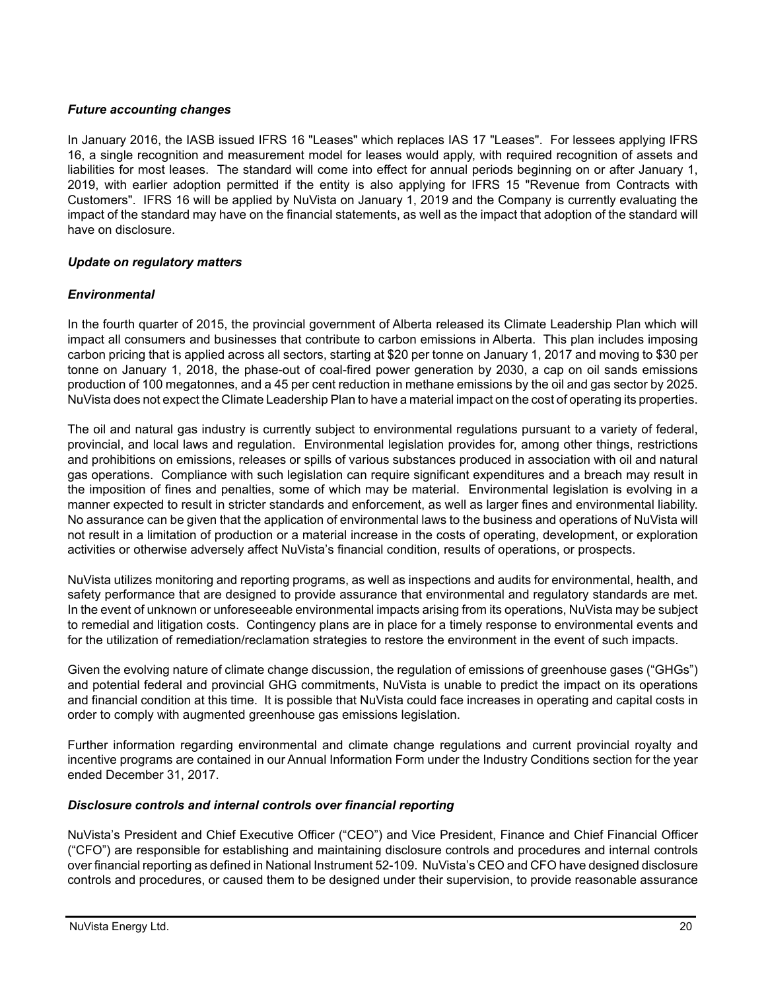# *Future accounting changes*

In January 2016, the IASB issued IFRS 16 "Leases" which replaces IAS 17 "Leases". For lessees applying IFRS 16, a single recognition and measurement model for leases would apply, with required recognition of assets and liabilities for most leases. The standard will come into effect for annual periods beginning on or after January 1, 2019, with earlier adoption permitted if the entity is also applying for IFRS 15 "Revenue from Contracts with Customers". IFRS 16 will be applied by NuVista on January 1, 2019 and the Company is currently evaluating the impact of the standard may have on the financial statements, as well as the impact that adoption of the standard will have on disclosure.

# *Update on regulatory matters*

# *Environmental*

In the fourth quarter of 2015, the provincial government of Alberta released its Climate Leadership Plan which will impact all consumers and businesses that contribute to carbon emissions in Alberta. This plan includes imposing carbon pricing that is applied across all sectors, starting at \$20 per tonne on January 1, 2017 and moving to \$30 per tonne on January 1, 2018, the phase-out of coal-fired power generation by 2030, a cap on oil sands emissions production of 100 megatonnes, and a 45 per cent reduction in methane emissions by the oil and gas sector by 2025. NuVista does not expect the Climate Leadership Plan to have a material impact on the cost of operating its properties.

The oil and natural gas industry is currently subject to environmental regulations pursuant to a variety of federal, provincial, and local laws and regulation. Environmental legislation provides for, among other things, restrictions and prohibitions on emissions, releases or spills of various substances produced in association with oil and natural gas operations. Compliance with such legislation can require significant expenditures and a breach may result in the imposition of fines and penalties, some of which may be material. Environmental legislation is evolving in a manner expected to result in stricter standards and enforcement, as well as larger fines and environmental liability. No assurance can be given that the application of environmental laws to the business and operations of NuVista will not result in a limitation of production or a material increase in the costs of operating, development, or exploration activities or otherwise adversely affect NuVista's financial condition, results of operations, or prospects.

NuVista utilizes monitoring and reporting programs, as well as inspections and audits for environmental, health, and safety performance that are designed to provide assurance that environmental and regulatory standards are met. In the event of unknown or unforeseeable environmental impacts arising from its operations, NuVista may be subject to remedial and litigation costs. Contingency plans are in place for a timely response to environmental events and for the utilization of remediation/reclamation strategies to restore the environment in the event of such impacts.

Given the evolving nature of climate change discussion, the regulation of emissions of greenhouse gases ("GHGs") and potential federal and provincial GHG commitments, NuVista is unable to predict the impact on its operations and financial condition at this time. It is possible that NuVista could face increases in operating and capital costs in order to comply with augmented greenhouse gas emissions legislation.

Further information regarding environmental and climate change regulations and current provincial royalty and incentive programs are contained in our Annual Information Form under the Industry Conditions section for the year ended December 31, 2017.

# *Disclosure controls and internal controls over financial reporting*

NuVista's President and Chief Executive Officer ("CEO") and Vice President, Finance and Chief Financial Officer ("CFO") are responsible for establishing and maintaining disclosure controls and procedures and internal controls over financial reporting as defined in National Instrument 52-109. NuVista's CEO and CFO have designed disclosure controls and procedures, or caused them to be designed under their supervision, to provide reasonable assurance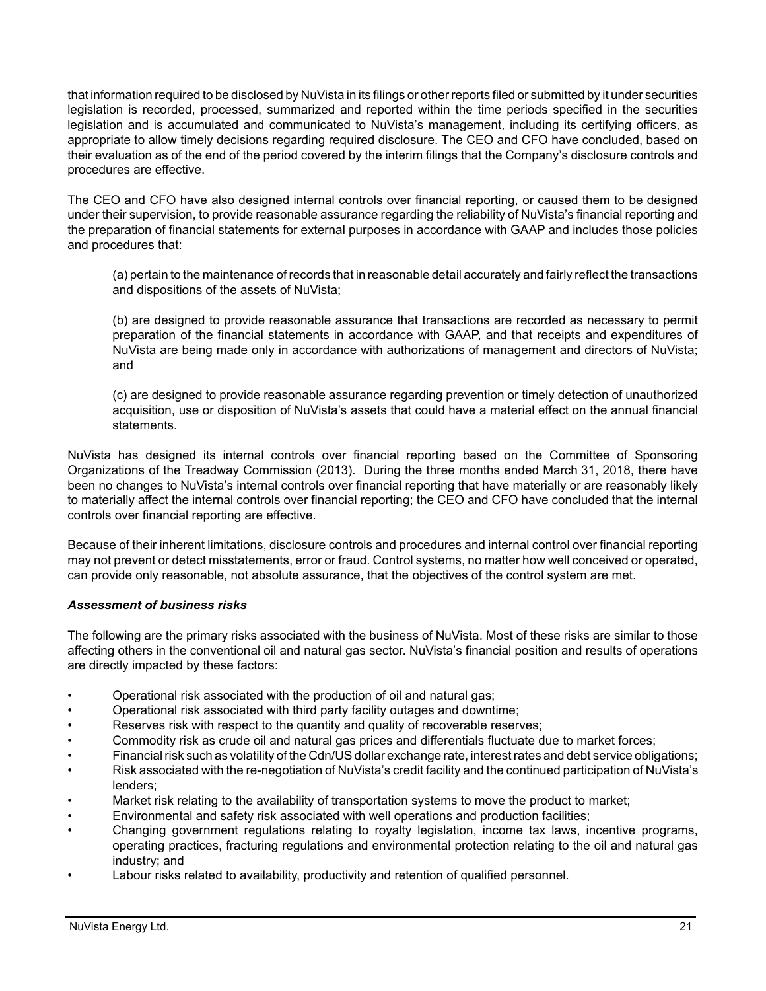that information required to be disclosed by NuVista in its filings or other reports filed or submitted by it under securities legislation is recorded, processed, summarized and reported within the time periods specified in the securities legislation and is accumulated and communicated to NuVista's management, including its certifying officers, as appropriate to allow timely decisions regarding required disclosure. The CEO and CFO have concluded, based on their evaluation as of the end of the period covered by the interim filings that the Company's disclosure controls and procedures are effective.

The CEO and CFO have also designed internal controls over financial reporting, or caused them to be designed under their supervision, to provide reasonable assurance regarding the reliability of NuVista's financial reporting and the preparation of financial statements for external purposes in accordance with GAAP and includes those policies and procedures that:

(a) pertain to the maintenance of records that in reasonable detail accurately and fairly reflect the transactions and dispositions of the assets of NuVista;

(b) are designed to provide reasonable assurance that transactions are recorded as necessary to permit preparation of the financial statements in accordance with GAAP, and that receipts and expenditures of NuVista are being made only in accordance with authorizations of management and directors of NuVista; and

(c) are designed to provide reasonable assurance regarding prevention or timely detection of unauthorized acquisition, use or disposition of NuVista's assets that could have a material effect on the annual financial statements.

NuVista has designed its internal controls over financial reporting based on the Committee of Sponsoring Organizations of the Treadway Commission (2013). During the three months ended March 31, 2018, there have been no changes to NuVista's internal controls over financial reporting that have materially or are reasonably likely to materially affect the internal controls over financial reporting; the CEO and CFO have concluded that the internal controls over financial reporting are effective.

Because of their inherent limitations, disclosure controls and procedures and internal control over financial reporting may not prevent or detect misstatements, error or fraud. Control systems, no matter how well conceived or operated, can provide only reasonable, not absolute assurance, that the objectives of the control system are met.

# *Assessment of business risks*

The following are the primary risks associated with the business of NuVista. Most of these risks are similar to those affecting others in the conventional oil and natural gas sector. NuVista's financial position and results of operations are directly impacted by these factors:

- Operational risk associated with the production of oil and natural gas;
- Operational risk associated with third party facility outages and downtime;
- Reserves risk with respect to the quantity and quality of recoverable reserves;
- Commodity risk as crude oil and natural gas prices and differentials fluctuate due to market forces;
- Financial risk such as volatility of the Cdn/US dollar exchange rate, interest rates and debt service obligations;
- Risk associated with the re-negotiation of NuVista's credit facility and the continued participation of NuVista's lenders;
- Market risk relating to the availability of transportation systems to move the product to market;
- Environmental and safety risk associated with well operations and production facilities;
- Changing government regulations relating to royalty legislation, income tax laws, incentive programs, operating practices, fracturing regulations and environmental protection relating to the oil and natural gas industry; and
- Labour risks related to availability, productivity and retention of qualified personnel.